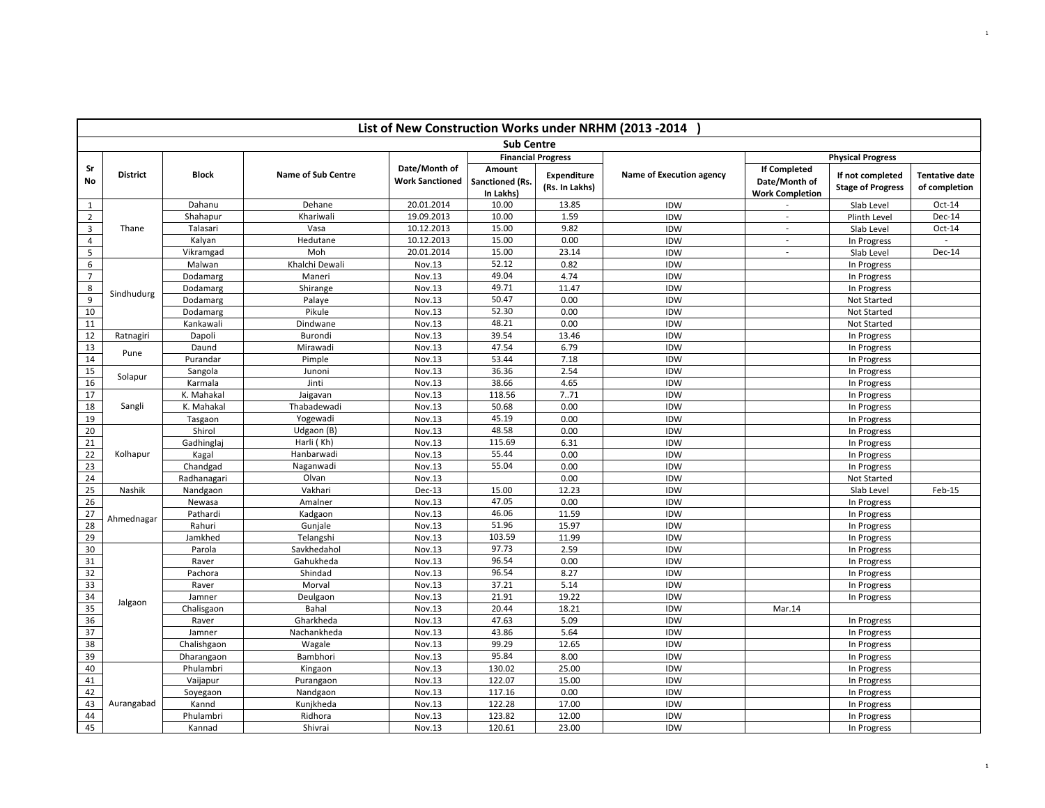|                |                 |                         |                           |                                         |                                        |                               | List of New Construction Works under NRHM (2013 -2014 |                                                                |                                              |                                        |
|----------------|-----------------|-------------------------|---------------------------|-----------------------------------------|----------------------------------------|-------------------------------|-------------------------------------------------------|----------------------------------------------------------------|----------------------------------------------|----------------------------------------|
|                |                 |                         |                           |                                         | <b>Sub Centre</b>                      |                               |                                                       |                                                                |                                              |                                        |
|                |                 |                         |                           |                                         | <b>Financial Progress</b>              |                               |                                                       |                                                                | <b>Physical Progress</b>                     |                                        |
| Sr<br>No       | <b>District</b> | <b>Block</b>            | <b>Name of Sub Centre</b> | Date/Month of<br><b>Work Sanctioned</b> | Amount<br>Sanctioned (Rs.<br>In Lakhs) | Expenditure<br>(Rs. In Lakhs) | Name of Execution agency                              | <b>If Completed</b><br>Date/Month of<br><b>Work Completion</b> | If not completed<br><b>Stage of Progress</b> | <b>Tentative date</b><br>of completion |
| $\mathbf{1}$   |                 | Dahanu                  | Dehane                    | 20.01.2014                              | 10.00                                  | 13.85                         | IDW                                                   |                                                                | Slab Level                                   | Oct-14                                 |
| $2^{\circ}$    |                 | Shahapur                | Khariwali                 | 19.09.2013                              | 10.00                                  | 1.59                          | IDW                                                   | $\mathbf{r}$                                                   | Plinth Level                                 | Dec-14                                 |
| 3              | Thane           | Talasari                | Vasa                      | 10.12.2013                              | 15.00                                  | 9.82                          | IDW                                                   | $\sim$                                                         | Slab Level                                   | $Oct-14$                               |
| $\overline{4}$ |                 | Kalyan                  | Hedutane                  | 10.12.2013                              | 15.00                                  | 0.00                          | IDW                                                   | $\overline{\phantom{a}}$                                       | In Progress                                  | $\sim$                                 |
| 5              |                 | Vikramgad               | Moh                       | 20.01.2014                              | 15.00                                  | 23.14                         | IDW                                                   | $\overline{\phantom{a}}$                                       | Slab Level                                   | Dec-14                                 |
| 6              |                 | Malwan                  | Khalchi Dewali            | Nov.13                                  | 52.12                                  | 0.82                          | IDW                                                   |                                                                | In Progress                                  |                                        |
| $\overline{7}$ |                 | Dodamarg                | Maneri                    | Nov.13                                  | 49.04                                  | 4.74                          | IDW                                                   |                                                                | In Progress                                  |                                        |
| $8\phantom{1}$ | Sindhudurg      | Dodamarg                | Shirange                  | Nov.13                                  | 49.71                                  | 11.47                         | IDW                                                   |                                                                | In Progress                                  |                                        |
| $\overline{9}$ |                 | Dodamarg                | Palaye                    | Nov.13                                  | 50.47                                  | 0.00                          | IDW                                                   |                                                                | Not Started                                  |                                        |
| 10             |                 | Dodamarg                | Pikule                    | Nov.13                                  | 52.30                                  | 0.00                          | IDW                                                   |                                                                | Not Started                                  |                                        |
| 11             |                 | Kankawali               | Dindwane                  | Nov.13                                  | 48.21                                  | 0.00                          | IDW                                                   |                                                                | Not Started                                  |                                        |
| 12             | Ratnagiri       | Dapoli                  | Burondi                   | Nov.13                                  | 39.54                                  | 13.46                         | IDW                                                   |                                                                | In Progress                                  |                                        |
| 13             | Pune            | Daund                   | Mirawadi                  | Nov.13                                  | 47.54                                  | 6.79                          | IDW                                                   |                                                                | In Progress                                  |                                        |
| 14             |                 | Purandar                | Pimple                    | Nov.13                                  | 53.44                                  | 7.18                          | IDW                                                   |                                                                | In Progress                                  |                                        |
| 15             | Solapur         | Sangola                 | Junoni                    | Nov.13                                  | 36.36                                  | 2.54                          | IDW                                                   |                                                                | In Progress                                  |                                        |
| 16             |                 | Karmala                 | Jinti                     | Nov.13                                  | 38.66                                  | 4.65                          | IDW                                                   |                                                                | In Progress                                  |                                        |
| 17             |                 | K. Mahakal              | Jaigavan                  | Nov.13                                  | 118.56                                 | 7.71                          | IDW                                                   |                                                                | In Progress                                  |                                        |
| 18             | Sangli          | K. Mahakal              | Thabadewadi               | Nov.13                                  | 50.68                                  | 0.00                          | IDW                                                   |                                                                | In Progress                                  |                                        |
| 19             |                 | Tasgaon                 | Yogewadi                  | Nov.13                                  | 45.19                                  | 0.00                          | <b>IDW</b>                                            |                                                                | In Progress                                  |                                        |
| 20             |                 | Shirol                  | Udgaon (B)                | Nov.13                                  | 48.58                                  | 0.00                          | IDW                                                   |                                                                | In Progress                                  |                                        |
| 21             |                 | Gadhinglaj              | Harli (Kh)                | Nov.13                                  | 115.69                                 | 6.31                          | IDW                                                   |                                                                | In Progress                                  |                                        |
| 22             | Kolhapur        | Kagal                   | Hanbarwadi                | Nov.13                                  | 55.44                                  | 0.00                          | IDW                                                   |                                                                | In Progress                                  |                                        |
| 23             |                 | Chandgad                | Naganwadi                 | Nov.13                                  | 55.04                                  | 0.00                          | <b>IDW</b>                                            |                                                                | In Progress                                  |                                        |
| 24             |                 | Radhanagari             | Olvan                     | Nov.13                                  |                                        | 0.00                          | IDW                                                   |                                                                | Not Started                                  |                                        |
| 25             | Nashik          | Nandgaon                | Vakhari                   | Dec-13                                  | 15.00                                  | 12.23                         | IDW                                                   |                                                                | Slab Level                                   | Feb-15                                 |
| 26             |                 | Newasa                  | Amalner                   | Nov.13                                  | 47.05                                  | 0.00                          | IDW                                                   |                                                                | In Progress                                  |                                        |
| 27             | Ahmednagar      | Pathardi                | Kadgaon                   | Nov.13                                  | 46.06                                  | 11.59                         | IDW                                                   |                                                                | In Progress                                  |                                        |
| 28             |                 | Rahuri                  | Gunjale                   | Nov.13                                  | 51.96                                  | 15.97                         | IDW                                                   |                                                                | In Progress                                  |                                        |
| 29             |                 | Jamkhed                 | Telangshi                 | Nov.13                                  | 103.59                                 | 11.99                         | IDW                                                   |                                                                | In Progress                                  |                                        |
| 30             |                 | Parola                  | Savkhedahol               | Nov.13                                  | 97.73                                  | 2.59                          | IDW                                                   |                                                                | In Progress                                  |                                        |
| 31             |                 | Raver                   | Gahukheda                 | Nov.13                                  | 96.54                                  | 0.00                          | IDW                                                   |                                                                | In Progress                                  |                                        |
| 32             |                 | Pachora                 | Shindad                   | Nov.13                                  | 96.54<br>37.21                         | 8.27                          | IDW                                                   |                                                                | In Progress                                  |                                        |
| 33             |                 | Raver                   | Morval                    | Nov.13                                  | 21.91                                  | 5.14                          | IDW                                                   |                                                                | In Progress                                  |                                        |
| 34<br>35       | Jalgaon         | Jamner                  | Deulgaon<br>Bahal         | Nov.13                                  | 20.44                                  | 19.22                         | IDW                                                   |                                                                | In Progress                                  |                                        |
| 36             |                 | Chalisgaon<br>Raver     |                           | Nov.13                                  | 47.63                                  | 18.21<br>5.09                 | IDW<br>IDW                                            | Mar.14                                                         |                                              |                                        |
| 37             |                 | Jamner                  | Gharkheda<br>Nachankheda  | Nov.13<br>Nov.13                        | 43.86                                  | 5.64                          | IDW                                                   |                                                                | In Progress<br>In Progress                   |                                        |
| 38             |                 | Chalishgaon             | Wagale                    | Nov.13                                  | 99.29                                  | 12.65                         | IDW                                                   |                                                                |                                              |                                        |
| 39             |                 |                         | Bambhori                  | Nov.13                                  | 95.84                                  | 8.00                          | <b>IDW</b>                                            |                                                                | In Progress                                  |                                        |
| 40             |                 | Dharangaon<br>Phulambri |                           | Nov.13                                  | 130.02                                 | 25.00                         | IDW                                                   |                                                                | In Progress<br>In Progress                   |                                        |
| 41             |                 | Vaijapur                | Kingaon<br>Purangaon      | Nov.13                                  | 122.07                                 | 15.00                         | IDW                                                   |                                                                | In Progress                                  |                                        |
| 42             |                 | Soyegaon                | Nandgaon                  | Nov.13                                  | 117.16                                 | 0.00                          | IDW                                                   |                                                                | In Progress                                  |                                        |
| 43             | Aurangabad      | Kannd                   | Kunjkheda                 | Nov.13                                  | 122.28                                 | 17.00                         | IDW                                                   |                                                                | In Progress                                  |                                        |
| 44             |                 | Phulambri               | Ridhora                   | Nov.13                                  | 123.82                                 | 12.00                         | <b>IDW</b>                                            |                                                                | In Progress                                  |                                        |
| 45             |                 | Kannad                  | Shivrai                   | Nov.13                                  | 120.61                                 | 23.00                         | IDW                                                   |                                                                | In Progress                                  |                                        |
|                |                 |                         |                           |                                         |                                        |                               |                                                       |                                                                |                                              |                                        |

1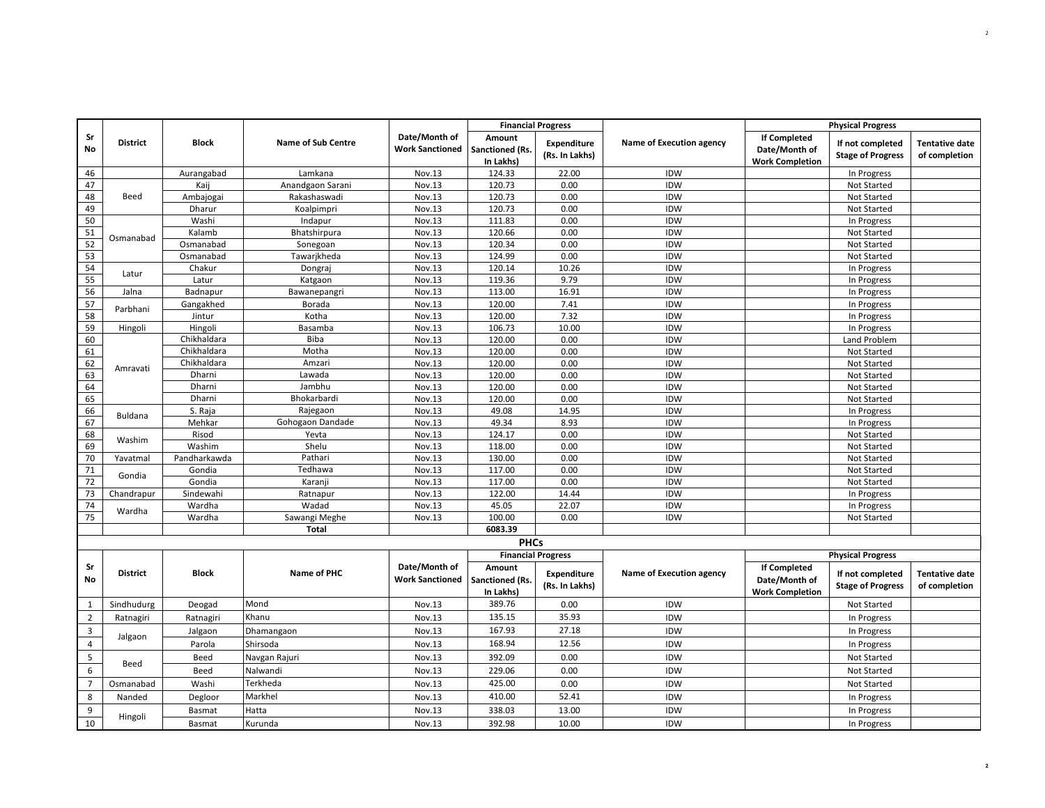|                |                 |               |                           |                                         | <b>Financial Progress</b>              |                                      |                          |                                                                | <b>Physical Progress</b>                     |                                        |
|----------------|-----------------|---------------|---------------------------|-----------------------------------------|----------------------------------------|--------------------------------------|--------------------------|----------------------------------------------------------------|----------------------------------------------|----------------------------------------|
| Sr<br>No       | <b>District</b> | <b>Block</b>  | <b>Name of Sub Centre</b> | Date/Month of<br><b>Work Sanctioned</b> | Amount<br>Sanctioned (Rs.<br>In Lakhs) | Expenditure<br>(Rs. In Lakhs)        | Name of Execution agency | <b>If Completed</b><br>Date/Month of<br><b>Work Completion</b> | If not completed<br><b>Stage of Progress</b> | <b>Tentative date</b><br>of completion |
| 46             |                 | Aurangabad    | Lamkana                   | Nov.13                                  | 124.33                                 | 22.00                                | <b>IDW</b>               |                                                                | In Progress                                  |                                        |
| 47             |                 | Kaij          | Anandgaon Sarani          | Nov.13                                  | 120.73                                 | 0.00                                 | <b>IDW</b>               |                                                                | Not Started                                  |                                        |
| 48             | Beed            | Ambajogai     | Rakashaswadi              | Nov.13                                  | 120.73                                 | 0.00                                 | <b>IDW</b>               |                                                                | Not Started                                  |                                        |
| 49             |                 | Dharur        | Koalpimpri                | Nov.13                                  | 120.73                                 | 0.00                                 | <b>IDW</b>               |                                                                | Not Started                                  |                                        |
| 50             |                 | Washi         | Indapur                   | Nov.13                                  | 111.83                                 | 0.00                                 | <b>IDW</b>               |                                                                | In Progress                                  |                                        |
| 51             | Osmanabad       | Kalamb        | Bhatshirpura              | Nov.13                                  | 120.66                                 | 0.00                                 | <b>IDW</b>               |                                                                | Not Started                                  |                                        |
| 52             |                 | Osmanabad     | Sonegoan                  | Nov.13                                  | 120.34                                 | 0.00                                 | <b>IDW</b>               |                                                                | Not Started                                  |                                        |
| 53             |                 | Osmanabad     | Tawarjkheda               | Nov.13                                  | 124.99                                 | 0.00                                 | <b>IDW</b>               |                                                                | <b>Not Started</b>                           |                                        |
| 54             | Latur           | Chakur        | Dongraj                   | Nov.13                                  | 120.14                                 | 10.26                                | <b>IDW</b>               |                                                                | In Progress                                  |                                        |
| 55             |                 | Latur         | Katgaon                   | Nov.13                                  | 119.36                                 | 9.79                                 | <b>IDW</b>               |                                                                | In Progress                                  |                                        |
| 56             | Jalna           | Badnapur      | Bawanepangri              | Nov.13                                  | 113.00                                 | 16.91                                | <b>IDW</b>               |                                                                | In Progress                                  |                                        |
| 57             | Parbhani        | Gangakhed     | Borada                    | Nov.13                                  | 120.00                                 | 7.41                                 | <b>IDW</b>               |                                                                | In Progress                                  |                                        |
| 58             |                 | Jintur        | Kotha                     | Nov.13                                  | 120.00                                 | 7.32                                 | <b>IDW</b>               |                                                                | In Progress                                  |                                        |
| 59             | Hingoli         | Hingoli       | Basamba                   | Nov.13                                  | 106.73                                 | 10.00                                | <b>IDW</b>               |                                                                | In Progress                                  |                                        |
| 60             |                 | Chikhaldara   | Biba                      | Nov.13                                  | 120.00                                 | 0.00                                 | <b>IDW</b>               |                                                                | Land Problem                                 |                                        |
| 61             |                 | Chikhaldara   | Motha                     | Nov.13                                  | 120.00                                 | 0.00                                 | <b>IDW</b>               |                                                                | Not Started                                  |                                        |
| 62             | Amravati        | Chikhaldara   | Amzari                    | Nov.13                                  | 120.00                                 | 0.00                                 | <b>IDW</b>               |                                                                | <b>Not Started</b>                           |                                        |
| 63             |                 | Dharni        | Lawada                    | Nov.13                                  | 120.00                                 | 0.00                                 | <b>IDW</b>               |                                                                | Not Started                                  |                                        |
| 64             |                 | Dharni        | Jambhu                    | Nov.13                                  | 120.00                                 | 0.00                                 | <b>IDW</b>               |                                                                | Not Started                                  |                                        |
| 65             |                 | Dharni        | Bhokarbardi               | Nov.13                                  | 120.00                                 | 0.00                                 | <b>IDW</b>               |                                                                | Not Started                                  |                                        |
| 66             | Buldana         | S. Raja       | Rajegaon                  | Nov.13                                  | 49.08                                  | 14.95                                | <b>IDW</b>               |                                                                | In Progress                                  |                                        |
| 67             |                 | Mehkar        | Gohogaon Dandade          | Nov.13                                  | 49.34                                  | 8.93                                 | <b>IDW</b>               |                                                                | In Progress                                  |                                        |
| 68             | Washim          | Risod         | Yevta                     | Nov.13                                  | 124.17                                 | 0.00                                 | <b>IDW</b>               |                                                                | Not Started                                  |                                        |
| 69             |                 | Washim        | Shelu                     | Nov.13                                  | 118.00                                 | 0.00                                 | <b>IDW</b>               |                                                                | Not Started                                  |                                        |
| 70             | Yavatmal        | Pandharkawda  | Pathari                   | Nov.13                                  | 130.00                                 | 0.00                                 | <b>IDW</b>               |                                                                | <b>Not Started</b>                           |                                        |
| 71             | Gondia          | Gondia        | Tedhawa                   | Nov.13                                  | 117.00                                 | 0.00                                 | <b>IDW</b>               |                                                                | Not Started                                  |                                        |
| 72             |                 | Gondia        | Karanji                   | Nov.13                                  | 117.00                                 | 0.00                                 | <b>IDW</b>               |                                                                | Not Started                                  |                                        |
| 73             | Chandrapur      | Sindewahi     | Ratnapur                  | Nov.13                                  | 122.00                                 | 14.44                                | <b>IDW</b>               |                                                                | In Progress                                  |                                        |
| 74             | Wardha          | Wardha        | Wadad                     | Nov.13                                  | 45.05                                  | 22.07                                | <b>IDW</b>               |                                                                | In Progress                                  |                                        |
| 75             |                 | Wardha        | Sawangi Meghe             | Nov.13                                  | 100.00                                 | 0.00                                 | IDW                      |                                                                | Not Started                                  |                                        |
|                |                 |               | Total                     |                                         | 6083.39                                |                                      |                          |                                                                |                                              |                                        |
|                |                 |               |                           |                                         | <b>PHCs</b>                            |                                      |                          |                                                                |                                              |                                        |
|                |                 |               |                           |                                         | <b>Financial Progress</b>              |                                      |                          |                                                                | <b>Physical Progress</b>                     |                                        |
| Sr<br>No       | <b>District</b> | <b>Block</b>  | Name of PHC               | Date/Month of<br><b>Work Sanctioned</b> | Amount<br>Sanctioned (Rs.<br>In Lakhs) | <b>Expenditure</b><br>(Rs. In Lakhs) | Name of Execution agency | <b>If Completed</b><br>Date/Month of<br><b>Work Completion</b> | If not completed<br><b>Stage of Progress</b> | <b>Tentative date</b><br>of completion |
| $\mathbf{1}$   | Sindhudurg      | Deogad        | Mond                      | Nov.13                                  | 389.76                                 | 0.00                                 | <b>IDW</b>               |                                                                | Not Started                                  |                                        |
| $\overline{2}$ | Ratnagiri       | Ratnagiri     | Khanu                     | Nov.13                                  | 135.15                                 | 35.93                                | <b>IDW</b>               |                                                                | In Progress                                  |                                        |
| 3              |                 | Jalgaon       | Dhamangaon                | Nov.13                                  | 167.93                                 | 27.18                                | <b>IDW</b>               |                                                                | In Progress                                  |                                        |
| $\overline{4}$ | Jalgaon         | Parola        | Shirsoda                  | Nov.13                                  | 168.94                                 | 12.56                                | <b>IDW</b>               |                                                                |                                              |                                        |
|                |                 |               |                           |                                         |                                        |                                      |                          |                                                                | In Progress                                  |                                        |
| 5              | Beed            | Beed          | Navgan Rajuri             | Nov.13                                  | 392.09                                 | 0.00                                 | <b>IDW</b>               |                                                                | Not Started                                  |                                        |
| 6              |                 | Beed          | Nalwandi                  | Nov.13                                  | 229.06                                 | 0.00                                 | <b>IDW</b>               |                                                                | <b>Not Started</b>                           |                                        |
| $\overline{7}$ | Osmanabad       | Washi         | Terkheda                  | Nov.13                                  | 425.00                                 | 0.00                                 | <b>IDW</b>               |                                                                | Not Started                                  |                                        |
| 8              | Nanded          | Degloor       | Markhel                   | Nov.13                                  | 410.00                                 | 52.41                                | <b>IDW</b>               |                                                                | In Progress                                  |                                        |
| 9              |                 | <b>Basmat</b> | Hatta                     | Nov.13                                  | 338.03                                 | 13.00                                | <b>IDW</b>               |                                                                | In Progress                                  |                                        |
| 10             | Hingoli         | Basmat        | Kurunda                   | Nov.13                                  | 392.98                                 | 10.00                                | <b>IDW</b>               |                                                                | In Progress                                  |                                        |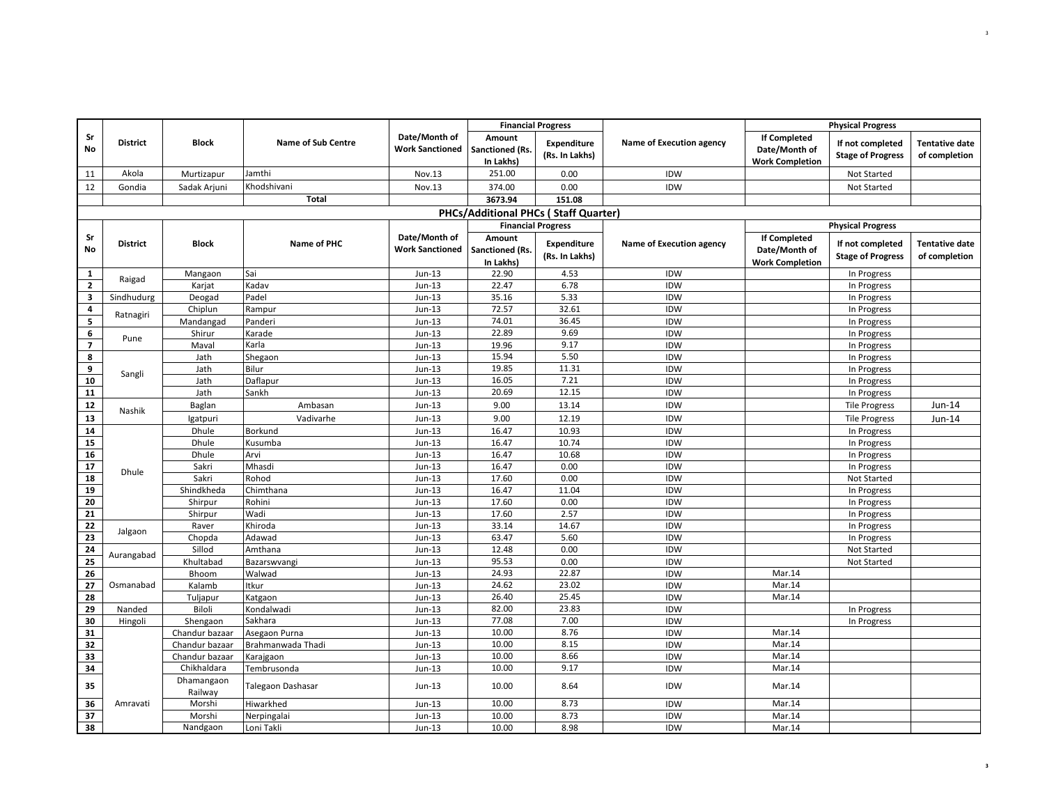|                |                 |                                  |                                    |                                         | <b>Financial Progress</b>                   |                               |                          |                                                                | <b>Physical Progress</b>                     |                                 |
|----------------|-----------------|----------------------------------|------------------------------------|-----------------------------------------|---------------------------------------------|-------------------------------|--------------------------|----------------------------------------------------------------|----------------------------------------------|---------------------------------|
| Sr<br>No       | <b>District</b> | <b>Block</b>                     | <b>Name of Sub Centre</b>          | Date/Month of<br><b>Work Sanctioned</b> | Amount<br>Sanctioned (Rs.<br>In Lakhs)      | Expenditure<br>(Rs. In Lakhs) | Name of Execution agency | <b>If Completed</b><br>Date/Month of<br><b>Work Completion</b> | If not completed<br><b>Stage of Progress</b> | Tentative date<br>of completion |
| 11             | Akola           | Murtizapur                       | Jamthi                             | Nov.13                                  | 251.00                                      | 0.00                          | IDW                      |                                                                | Not Started                                  |                                 |
| 12             | Gondia          | Sadak Arjuni                     | Khodshivani                        | Nov.13                                  | 374.00                                      | 0.00                          | IDW                      |                                                                | Not Started                                  |                                 |
|                |                 |                                  | Total                              |                                         | 3673.94                                     | 151.08                        |                          |                                                                |                                              |                                 |
|                |                 |                                  |                                    |                                         | <b>PHCs/Additional PHCs (Staff Quarter)</b> |                               |                          |                                                                |                                              |                                 |
|                |                 |                                  |                                    |                                         |                                             | <b>Financial Progress</b>     |                          |                                                                | <b>Physical Progress</b>                     |                                 |
| Sr             |                 |                                  |                                    | Date/Month of                           | Amount                                      |                               |                          | <b>If Completed</b>                                            |                                              |                                 |
| No             | <b>District</b> | <b>Block</b>                     | Name of PHC                        | <b>Work Sanctioned</b>                  | Sanctioned (Rs.                             | Expenditure                   | Name of Execution agency | Date/Month of                                                  | If not completed                             | <b>Tentative date</b>           |
|                |                 |                                  |                                    |                                         | In Lakhs)                                   | (Rs. In Lakhs)                |                          | <b>Work Completion</b>                                         | <b>Stage of Progress</b>                     | of completion                   |
| 1              | Raigad          | Mangaon                          | Sai                                | $Jun-13$                                | 22.90                                       | 4.53                          | IDW                      |                                                                | In Progress                                  |                                 |
| $\mathbf{2}$   |                 | Karjat                           | Kadav                              | Jun-13                                  | 22.47                                       | 6.78                          | IDW                      |                                                                | In Progress                                  |                                 |
| 3              | Sindhudurg      | Deogad                           | Padel                              | $Jun-13$                                | 35.16                                       | 5.33                          | IDW                      |                                                                | In Progress                                  |                                 |
| 4              | Ratnagiri       | Chiplun                          | Rampur                             | Jun-13                                  | 72.57                                       | 32.61                         | <b>IDW</b>               |                                                                | In Progress                                  |                                 |
| 5              |                 | Mandangad                        | Panderi                            | $Jun-13$                                | 74.01                                       | 36.45                         | IDW                      |                                                                | In Progress                                  |                                 |
| 6              | Pune            | Shirur                           | Karade                             | $Jun-13$                                | 22.89                                       | 9.69                          | IDW                      |                                                                | In Progress                                  |                                 |
| $\overline{7}$ |                 | Maval                            | Karla                              | $Jun-13$                                | 19.96                                       | 9.17                          | IDW                      |                                                                | In Progress                                  |                                 |
| 8              |                 | Jath                             | Shegaon                            | Jun-13                                  | 15.94                                       | 5.50                          | IDW                      |                                                                | In Progress                                  |                                 |
| 9              | Sangli          | Jath                             | Bilur                              | Jun-13                                  | 19.85                                       | 11.31                         | IDW                      |                                                                | In Progress                                  |                                 |
| 10             |                 | Jath                             | Daflapur                           | Jun-13                                  | 16.05                                       | 7.21                          | IDW                      |                                                                | In Progress                                  |                                 |
| 11             |                 | Jath                             | Sankh                              | Jun-13                                  | 20.69                                       | 12.15                         | IDW                      |                                                                | In Progress                                  |                                 |
| 12             | Nashik          | Baglan                           | Ambasan                            | $Jun-13$                                | 9.00                                        | 13.14                         | IDW                      |                                                                | <b>Tile Progress</b>                         | Jun-14                          |
| 13             |                 | Igatpuri                         | Vadivarhe                          | $Jun-13$                                | 9.00                                        | 12.19                         | IDW                      |                                                                | <b>Tile Progress</b>                         | Jun-14                          |
| 14             |                 | Dhule                            | Borkund                            | Jun-13                                  | 16.47                                       | 10.93                         | IDW                      |                                                                | In Progress                                  |                                 |
| 15             |                 | Dhule                            | Kusumba                            | $Jun-13$                                | 16.47                                       | 10.74                         | IDW                      |                                                                | In Progress                                  |                                 |
| 16             |                 | Dhule                            | Arvi                               | $Jun-13$                                | 16.47                                       | 10.68                         | IDW                      |                                                                | In Progress                                  |                                 |
| 17             | Dhule           | Sakri                            | Mhasdi                             | $Jun-13$                                | 16.47                                       | 0.00                          | IDW                      |                                                                | In Progress                                  |                                 |
| 18             |                 | Sakri                            | Rohod                              | $Jun-13$                                | 17.60                                       | 0.00                          | IDW                      |                                                                | Not Started                                  |                                 |
| 19             |                 | Shindkheda                       | Chimthana                          | $Jun-13$                                | 16.47                                       | 11.04                         | IDW                      |                                                                | In Progress                                  |                                 |
| 20             |                 | Shirpur                          | Rohini                             | $Jun-13$                                | 17.60                                       | 0.00                          | IDW                      |                                                                | In Progress                                  |                                 |
| 21             |                 | Shirpur                          | Wadi                               | $Jun-13$                                | 17.60                                       | 2.57                          | IDW                      |                                                                | In Progress                                  |                                 |
| $\bf 22$       | Jalgaon         | Raver                            | Khiroda                            | Jun-13                                  | 33.14                                       | 14.67                         | <b>IDW</b>               |                                                                | In Progress                                  |                                 |
| 23             |                 | Chopda                           | Adawad                             | $Jun-13$                                | 63.47                                       | 5.60                          | IDW                      |                                                                | In Progress                                  |                                 |
| 24             | Aurangabad      | Sillod                           | Amthana                            | $Jun-13$                                | 12.48                                       | 0.00                          | IDW                      |                                                                | Not Started                                  |                                 |
| 25             |                 | Khultabad                        | Bazarswvangi                       | $Jun-13$                                | 95.53                                       | 0.00                          | IDW                      |                                                                | Not Started                                  |                                 |
| 26             |                 | Bhoom                            | Walwad                             | Jun-13                                  | 24.93                                       | 22.87                         | <b>IDW</b>               | Mar.14                                                         |                                              |                                 |
| 27             | Osmanabad       | Kalamb                           | Itkur                              | $Jun-13$                                | 24.62<br>26.40                              | 23.02                         | IDW                      | Mar.14                                                         |                                              |                                 |
| 28             |                 | Tuljapur                         | Katgaon                            | $Jun-13$                                | 82.00                                       | 25.45<br>23.83                | IDW                      | Mar.14                                                         |                                              |                                 |
| 29             | Nanded          | Biloli                           | Kondalwadi                         | $Jun-13$                                |                                             |                               | IDW                      |                                                                | In Progress                                  |                                 |
| 30<br>31       | Hingoli         | Shengaon                         | Sakhara                            | Jun-13<br>$Jun-13$                      | 77.08<br>10.00                              | 7.00<br>8.76                  | IDW<br>IDW               | Mar.14                                                         | In Progress                                  |                                 |
| 32             |                 | Chandur bazaar<br>Chandur bazaar | Asegaon Purna<br>Brahmanwada Thadi | $Jun-13$                                | 10.00                                       | 8.15                          | IDW                      | Mar.14                                                         |                                              |                                 |
| 33             |                 | Chandur bazaar                   |                                    | $Jun-13$                                | 10.00                                       | 8.66                          | IDW                      | Mar.14                                                         |                                              |                                 |
| 34             |                 | Chikhaldara                      | Karajgaon<br>Tembrusonda           | $Jun-13$                                | 10.00                                       | 9.17                          | IDW                      | Mar.14                                                         |                                              |                                 |
|                |                 | Dhamangaon                       |                                    |                                         |                                             |                               |                          |                                                                |                                              |                                 |
| 35             |                 | Railway                          | Talegaon Dashasar                  | $Jun-13$                                | 10.00                                       | 8.64                          | IDW                      | Mar.14                                                         |                                              |                                 |
| 36             | Amravati        | Morshi                           | Hiwarkhed                          | $Jun-13$                                | 10.00                                       | 8.73                          | IDW                      | Mar.14                                                         |                                              |                                 |
| 37             |                 | Morshi                           | Nerpingalai                        | $Jun-13$                                | 10.00                                       | 8.73                          | <b>IDW</b>               | Mar.14                                                         |                                              |                                 |
| 38             |                 | Nandgaon                         | Loni Takli                         | $Jun-13$                                | 10.00                                       | 8.98                          | IDW                      | Mar.14                                                         |                                              |                                 |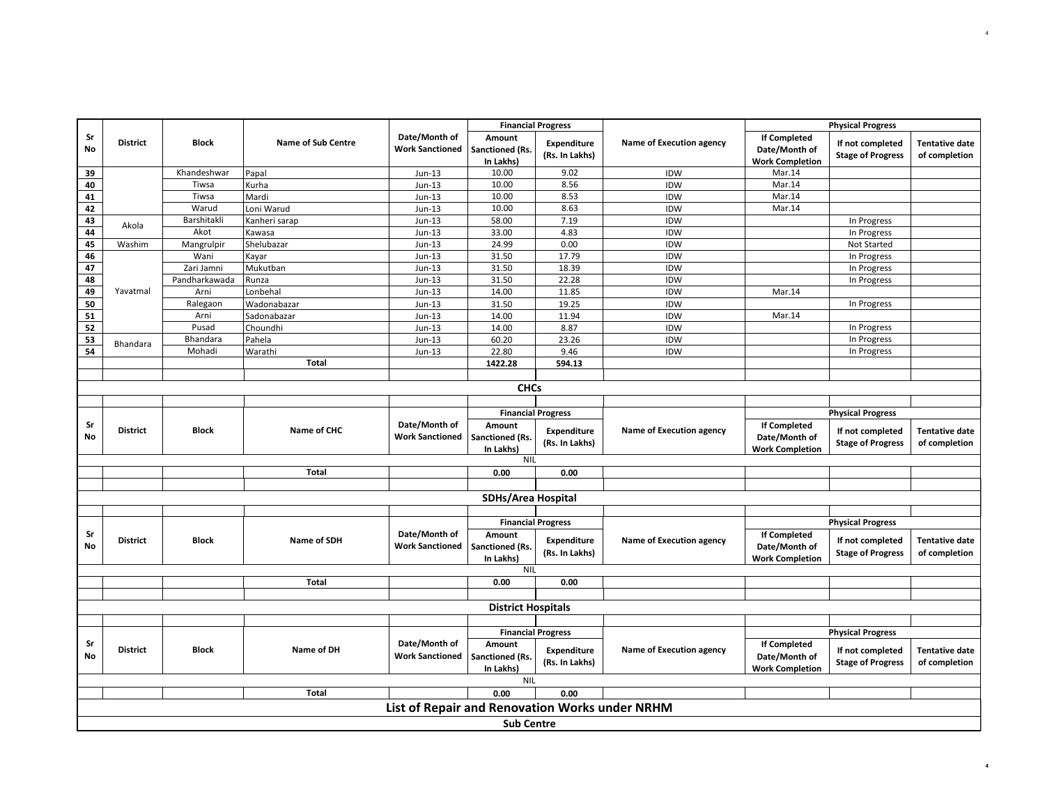| <b>Financial Progress</b><br>Date/Month of<br>Sr<br><b>If Completed</b><br>Amount |                 |               |                           |                                                |                                               | <b>Physical Progress</b>             |                          |                                                                |                                              |                                        |
|-----------------------------------------------------------------------------------|-----------------|---------------|---------------------------|------------------------------------------------|-----------------------------------------------|--------------------------------------|--------------------------|----------------------------------------------------------------|----------------------------------------------|----------------------------------------|
| No                                                                                | <b>District</b> | <b>Block</b>  | <b>Name of Sub Centre</b> | <b>Work Sanctioned</b>                         | Sanctioned (Rs.<br>In Lakhs)                  | Expenditure<br>(Rs. In Lakhs)        | Name of Execution agency | Date/Month of<br><b>Work Completion</b>                        | If not completed<br><b>Stage of Progress</b> | <b>Tentative date</b><br>of completion |
| 39                                                                                |                 | Khandeshwar   | Papal                     | $Jun-13$                                       | 10.00                                         | 9.02                                 | <b>IDW</b>               | Mar.14                                                         |                                              |                                        |
| 40                                                                                |                 | Tiwsa         | Kurha                     | $Jun-13$                                       | 10.00                                         | 8.56                                 | <b>IDW</b>               | Mar.14                                                         |                                              |                                        |
| 41                                                                                |                 | Tiwsa         | Mardi                     | $Jun-13$                                       | 10.00                                         | 8.53                                 | <b>IDW</b>               | Mar.14                                                         |                                              |                                        |
| 42                                                                                |                 | Warud         | Loni Warud                | $Jun-13$                                       | 10.00                                         | 8.63                                 | <b>IDW</b>               | Mar.14                                                         |                                              |                                        |
| 43                                                                                | Akola           | Barshitakli   | Kanheri sarap             | $Jun-13$                                       | 58.00                                         | 7.19                                 | <b>IDW</b>               |                                                                | In Progress                                  |                                        |
| 44                                                                                |                 | Akot          | Kawasa                    | $Jun-13$                                       | 33.00                                         | 4.83                                 | <b>IDW</b>               |                                                                | In Progress                                  |                                        |
| 45                                                                                | Washim          | Mangrulpir    | Shelubazar                | $Jun-13$                                       | 24.99                                         | 0.00                                 | <b>IDW</b>               |                                                                | Not Started                                  |                                        |
| 46                                                                                |                 | Wani          | Kayar                     | $Jun-13$                                       | 31.50                                         | 17.79                                | <b>IDW</b>               |                                                                | In Progress                                  |                                        |
| 47                                                                                |                 | Zari Jamni    | Mukutban                  | $Jun-13$                                       | 31.50                                         | 18.39                                | IDW                      |                                                                | In Progress                                  |                                        |
| 48                                                                                |                 | Pandharkawada | Runza                     | $Jun-13$                                       | 31.50                                         | 22.28                                | <b>IDW</b>               |                                                                | In Progress                                  |                                        |
| 49                                                                                | Yavatmal        | Arni          | Lonbehal                  | $Jun-13$                                       | 14.00                                         | 11.85                                | <b>IDW</b>               | Mar.14                                                         |                                              |                                        |
| 50                                                                                |                 | Ralegaon      | Wadonabazar               | $Jun-13$                                       | 31.50                                         | 19.25                                | <b>IDW</b>               |                                                                | In Progress                                  |                                        |
| 51                                                                                |                 | Arni          | Sadonabazar               | $Jun-13$                                       | 14.00                                         | 11.94                                | <b>IDW</b>               | Mar.14                                                         |                                              |                                        |
| 52                                                                                |                 | Pusad         | Choundhi                  | $Jun-13$                                       | 14.00                                         | 8.87                                 | <b>IDW</b>               |                                                                | In Progress                                  |                                        |
| 53                                                                                | Bhandara        | Bhandara      | Pahela                    | Jun-13                                         | 60.20                                         | 23.26                                | <b>IDW</b>               |                                                                | In Progress                                  |                                        |
| 54                                                                                |                 | Mohadi        | Warathi                   | $Jun-13$                                       | 22.80                                         | 9.46                                 | <b>IDW</b>               |                                                                | In Progress                                  |                                        |
|                                                                                   |                 |               | <b>Total</b>              |                                                | 1422.28                                       | 594.13                               |                          |                                                                |                                              |                                        |
|                                                                                   |                 |               |                           |                                                |                                               |                                      |                          |                                                                |                                              |                                        |
|                                                                                   |                 |               |                           |                                                | <b>CHCs</b>                                   |                                      |                          |                                                                |                                              |                                        |
|                                                                                   |                 |               |                           |                                                |                                               |                                      |                          |                                                                |                                              |                                        |
|                                                                                   |                 |               |                           | Date/Month of                                  |                                               | <b>Financial Progress</b>            |                          |                                                                | <b>Physical Progress</b>                     |                                        |
| Sr<br>No                                                                          | <b>District</b> | <b>Block</b>  | Name of CHC               | <b>Work Sanctioned</b>                         | Amount<br><b>Sanctioned (Rs.</b><br>In Lakhs) | Expenditure<br>(Rs. In Lakhs)        | Name of Execution agency | <b>If Completed</b><br>Date/Month of<br><b>Work Completion</b> | If not completed<br><b>Stage of Progress</b> | <b>Tentative date</b><br>of completion |
|                                                                                   |                 |               |                           |                                                | <b>NIL</b>                                    |                                      |                          |                                                                |                                              |                                        |
|                                                                                   |                 |               | Total                     |                                                | 0.00                                          | 0.00                                 |                          |                                                                |                                              |                                        |
|                                                                                   |                 |               |                           |                                                |                                               |                                      |                          |                                                                |                                              |                                        |
|                                                                                   |                 |               |                           |                                                | <b>SDHs/Area Hospital</b>                     |                                      |                          |                                                                |                                              |                                        |
|                                                                                   |                 |               |                           |                                                |                                               |                                      |                          |                                                                |                                              |                                        |
|                                                                                   |                 |               |                           |                                                |                                               | <b>Financial Progress</b>            |                          |                                                                | <b>Physical Progress</b>                     |                                        |
| Sr<br>No                                                                          | <b>District</b> | <b>Block</b>  | Name of SDH               | Date/Month of<br><b>Work Sanctioned</b>        | Amount<br>Sanctioned (Rs.<br>In Lakhs)        | <b>Expenditure</b><br>(Rs. In Lakhs) | Name of Execution agency | <b>If Completed</b><br>Date/Month of<br><b>Work Completion</b> | If not completed<br><b>Stage of Progress</b> | <b>Tentative date</b><br>of completion |
|                                                                                   |                 |               |                           |                                                | <b>NIL</b>                                    |                                      |                          |                                                                |                                              |                                        |
|                                                                                   |                 |               | Total                     |                                                | 0.00                                          | 0.00                                 |                          |                                                                |                                              |                                        |
|                                                                                   |                 |               |                           |                                                |                                               |                                      |                          |                                                                |                                              |                                        |
|                                                                                   |                 |               |                           |                                                | <b>District Hospitals</b>                     |                                      |                          |                                                                |                                              |                                        |
|                                                                                   |                 |               |                           |                                                |                                               |                                      |                          |                                                                |                                              |                                        |
|                                                                                   |                 |               |                           |                                                |                                               | <b>Financial Progress</b>            |                          |                                                                | <b>Physical Progress</b>                     |                                        |
| Sr<br><b>No</b>                                                                   | <b>District</b> | <b>Block</b>  | Name of DH                | Date/Month of<br><b>Work Sanctioned</b>        | Amount<br>Sanctioned (Rs.<br>In Lakhs)        | Expenditure<br>(Rs. In Lakhs)        | Name of Execution agency | <b>If Completed</b><br>Date/Month of<br><b>Work Completion</b> | If not completed<br><b>Stage of Progress</b> | <b>Tentative date</b><br>of completion |
|                                                                                   |                 |               |                           |                                                | <b>NIL</b>                                    |                                      |                          |                                                                |                                              |                                        |
|                                                                                   |                 |               | Total                     |                                                | 0.00                                          | 0.00                                 |                          |                                                                |                                              |                                        |
|                                                                                   |                 |               |                           | List of Repair and Renovation Works under NRHM |                                               |                                      |                          |                                                                |                                              |                                        |
|                                                                                   |                 |               |                           |                                                | <b>Sub Centre</b>                             |                                      |                          |                                                                |                                              |                                        |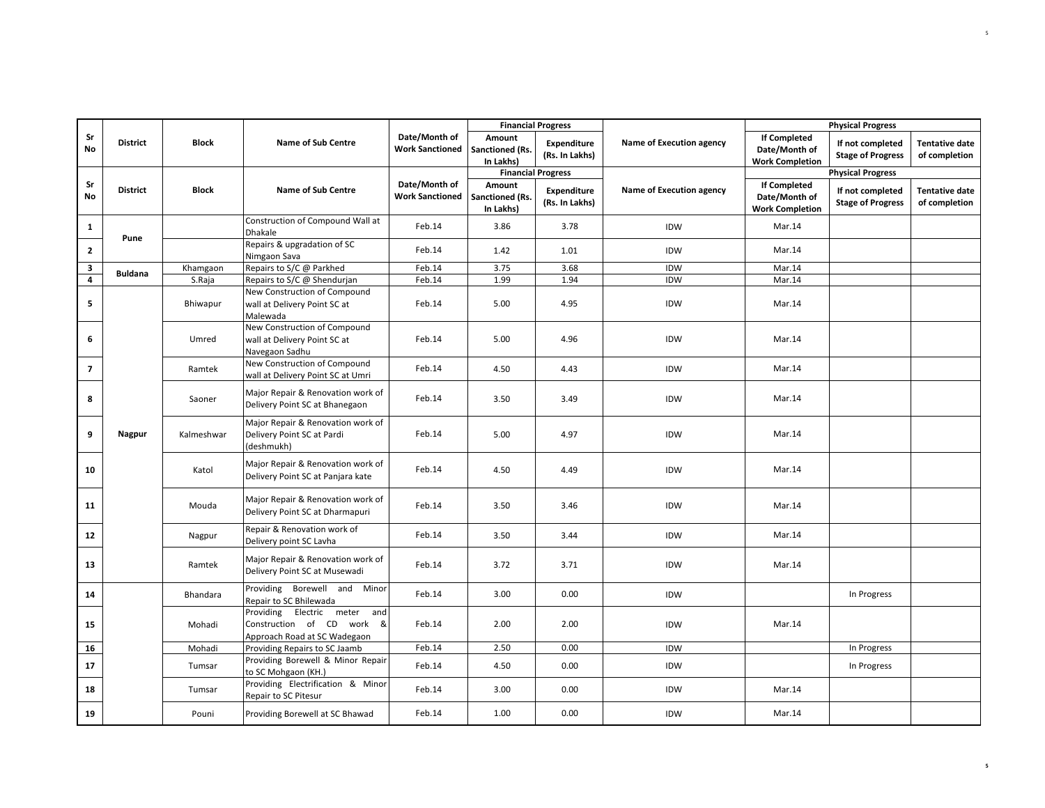|                |                 |              |                                                                                           |                                         |                                        | <b>Financial Progress</b>     |                          |                                                                | <b>Physical Progress</b>                     |                                        |
|----------------|-----------------|--------------|-------------------------------------------------------------------------------------------|-----------------------------------------|----------------------------------------|-------------------------------|--------------------------|----------------------------------------------------------------|----------------------------------------------|----------------------------------------|
| Sr<br>No       | <b>District</b> | <b>Block</b> | <b>Name of Sub Centre</b>                                                                 | Date/Month of<br><b>Work Sanctioned</b> | Amount<br>Sanctioned (Rs.<br>In Lakhs) | Expenditure<br>(Rs. In Lakhs) | Name of Execution agency | <b>If Completed</b><br>Date/Month of<br><b>Work Completion</b> | If not completed<br><b>Stage of Progress</b> | <b>Tentative date</b><br>of completion |
|                |                 |              |                                                                                           |                                         |                                        | <b>Financial Progress</b>     |                          |                                                                | <b>Physical Progress</b>                     |                                        |
| Sr<br>No       | <b>District</b> | <b>Block</b> | <b>Name of Sub Centre</b>                                                                 | Date/Month of<br><b>Work Sanctioned</b> | Amount<br>Sanctioned (Rs.<br>In Lakhs) | Expenditure<br>(Rs. In Lakhs) | Name of Execution agency | <b>If Completed</b><br>Date/Month of<br><b>Work Completion</b> | If not completed<br><b>Stage of Progress</b> | <b>Tentative date</b><br>of completion |
| $\mathbf{1}$   | Pune            |              | Construction of Compound Wall at<br>Dhakale                                               | Feb.14                                  | 3.86                                   | 3.78                          | IDW                      | Mar.14                                                         |                                              |                                        |
| $\overline{2}$ |                 |              | Repairs & upgradation of SC<br>Nimgaon Sava                                               | Feb.14                                  | 1.42                                   | 1.01                          | IDW                      | Mar.14                                                         |                                              |                                        |
| 3              | <b>Buldana</b>  | Khamgaon     | Repairs to S/C @ Parkhed                                                                  | Feb.14                                  | 3.75                                   | 3.68                          | IDW                      | Mar.14                                                         |                                              |                                        |
| $\overline{4}$ |                 | S.Raja       | Repairs to S/C @ Shendurjan                                                               | Feb.14                                  | 1.99                                   | 1.94                          | <b>IDW</b>               | Mar.14                                                         |                                              |                                        |
| 5              |                 | Bhiwapur     | New Construction of Compound<br>wall at Delivery Point SC at<br>Malewada                  | Feb.14                                  | 5.00                                   | 4.95                          | IDW                      | Mar.14                                                         |                                              |                                        |
| 6              |                 | Umred        | New Construction of Compound<br>wall at Delivery Point SC at<br>Navegaon Sadhu            | Feb.14                                  | 5.00                                   | 4.96                          | IDW                      | Mar.14                                                         |                                              |                                        |
| $\overline{7}$ |                 | Ramtek       | New Construction of Compound<br>wall at Delivery Point SC at Umri                         | Feb.14                                  | 4.50                                   | 4.43                          | IDW                      | Mar.14                                                         |                                              |                                        |
| 8              |                 | Saoner       | Major Repair & Renovation work of<br>Delivery Point SC at Bhanegaon                       | Feb.14                                  | 3.50                                   | 3.49                          | IDW                      | Mar.14                                                         |                                              |                                        |
| 9              | <b>Nagpur</b>   | Kalmeshwar   | Major Repair & Renovation work of<br>Delivery Point SC at Pardi<br>(deshmukh)             | Feb.14                                  | 5.00                                   | 4.97                          | IDW                      | Mar.14                                                         |                                              |                                        |
| 10             |                 | Katol        | Major Repair & Renovation work of<br>Delivery Point SC at Panjara kate                    | Feb.14                                  | 4.50                                   | 4.49                          | IDW                      | Mar.14                                                         |                                              |                                        |
| 11             |                 | Mouda        | Major Repair & Renovation work of<br>Delivery Point SC at Dharmapuri                      | Feb.14                                  | 3.50                                   | 3.46                          | IDW                      | Mar.14                                                         |                                              |                                        |
| 12             |                 | Nagpur       | Repair & Renovation work of<br>Delivery point SC Lavha                                    | Feb.14                                  | 3.50                                   | 3.44                          | IDW                      | Mar.14                                                         |                                              |                                        |
| 13             |                 | Ramtek       | Major Repair & Renovation work of<br>Delivery Point SC at Musewadi                        | Feb.14                                  | 3.72                                   | 3.71                          | IDW                      | Mar.14                                                         |                                              |                                        |
| 14             |                 | Bhandara     | Providing Borewell and Minor<br>Repair to SC Bhilewada                                    | Feb.14                                  | 3.00                                   | 0.00                          | IDW                      |                                                                | In Progress                                  |                                        |
| 15             |                 | Mohadi       | Providing Electric meter and<br>Construction of CD work &<br>Approach Road at SC Wadegaon | Feb.14                                  | 2.00                                   | 2.00                          | IDW                      | Mar.14                                                         |                                              |                                        |
| 16             |                 | Mohadi       | Providing Repairs to SC Jaamb                                                             | Feb.14                                  | 2.50                                   | 0.00                          | IDW                      |                                                                | In Progress                                  |                                        |
| 17             |                 | Tumsar       | Providing Borewell & Minor Repair<br>to SC Mohgaon (KH.)                                  | Feb.14                                  | 4.50                                   | 0.00                          | <b>IDW</b>               |                                                                | In Progress                                  |                                        |
| 18             |                 | Tumsar       | Providing Electrification & Minor<br>Repair to SC Pitesur                                 | Feb.14                                  | 3.00                                   | 0.00                          | IDW                      | Mar.14                                                         |                                              |                                        |
| 19             |                 | Pouni        | Providing Borewell at SC Bhawad                                                           | Feb.14                                  | 1.00                                   | 0.00                          | IDW                      | Mar.14                                                         |                                              |                                        |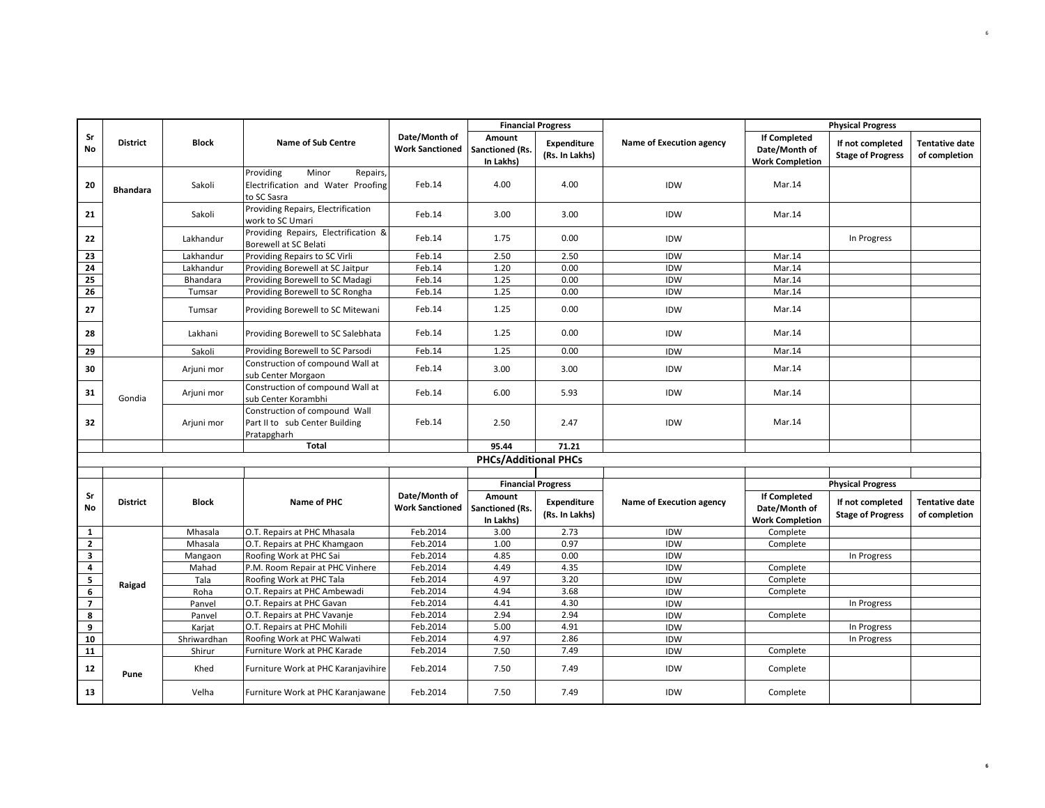|                         |                 |              |                                                                                     |                                         | <b>Financial Progress</b>              |                               |                          |                                                                | <b>Physical Progress</b>                     |                                        |
|-------------------------|-----------------|--------------|-------------------------------------------------------------------------------------|-----------------------------------------|----------------------------------------|-------------------------------|--------------------------|----------------------------------------------------------------|----------------------------------------------|----------------------------------------|
| Sr<br>No                | <b>District</b> | <b>Block</b> | <b>Name of Sub Centre</b>                                                           | Date/Month of<br><b>Work Sanctioned</b> | Amount<br>Sanctioned (Rs.<br>In Lakhs) | Expenditure<br>(Rs. In Lakhs) | Name of Execution agency | <b>If Completed</b><br>Date/Month of<br><b>Work Completion</b> | If not completed<br><b>Stage of Progress</b> | <b>Tentative date</b><br>of completion |
| 20                      | <b>Bhandara</b> | Sakoli       | Providing<br>Minor<br>Repairs,<br>Electrification and Water Proofing<br>to SC Sasra | Feb.14                                  | 4.00                                   | 4.00                          | IDW                      | Mar.14                                                         |                                              |                                        |
| 21                      |                 | Sakoli       | Providing Repairs, Electrification<br>work to SC Umari                              | Feb.14                                  | 3.00                                   | 3.00                          | <b>IDW</b>               | Mar.14                                                         |                                              |                                        |
| 22                      |                 | Lakhandur    | Providing Repairs, Electrification &<br><b>Borewell at SC Belati</b>                | Feb.14                                  | 1.75                                   | 0.00                          | <b>IDW</b>               |                                                                | In Progress                                  |                                        |
| 23                      |                 | Lakhandur    | Providing Repairs to SC Virli                                                       | Feb.14                                  | 2.50                                   | 2.50                          | IDW                      | Mar.14                                                         |                                              |                                        |
| 24                      |                 | Lakhandur    | Providing Borewell at SC Jaitpur                                                    | Feb.14                                  | 1.20                                   | 0.00                          | IDW                      | Mar.14                                                         |                                              |                                        |
| 25                      |                 | Bhandara     | Providing Borewell to SC Madagi                                                     | Feb.14                                  | 1.25                                   | 0.00                          | IDW                      | Mar.14                                                         |                                              |                                        |
| 26                      |                 | Tumsar       | Providing Borewell to SC Rongha                                                     | Feb.14                                  | 1.25                                   | 0.00                          | IDW                      | Mar.14                                                         |                                              |                                        |
| 27                      |                 | Tumsar       | Providing Borewell to SC Mitewani                                                   | Feb.14                                  | 1.25                                   | 0.00                          | IDW                      | Mar.14                                                         |                                              |                                        |
| 28                      |                 | Lakhani      | Providing Borewell to SC Salebhata                                                  | Feb.14                                  | 1.25                                   | 0.00                          | IDW                      | Mar.14                                                         |                                              |                                        |
| 29                      |                 | Sakoli       | Providing Borewell to SC Parsodi                                                    | Feb.14                                  | 1.25                                   | 0.00                          | IDW                      | Mar.14                                                         |                                              |                                        |
| 30                      |                 | Arjuni mor   | Construction of compound Wall at<br>sub Center Morgaon                              | Feb.14                                  | 3.00                                   | 3.00                          | IDW                      | Mar.14                                                         |                                              |                                        |
| 31                      | Gondia          | Arjuni mor   | Construction of compound Wall at<br>sub Center Korambhi                             | Feb.14                                  | 6.00                                   | 5.93                          | IDW                      | Mar.14                                                         |                                              |                                        |
| 32                      |                 | Arjuni mor   | Construction of compound Wall<br>Part II to sub Center Building<br>Pratapgharh      | Feb.14                                  | 2.50                                   | 2.47                          | IDW                      | Mar.14                                                         |                                              |                                        |
|                         |                 |              | Total                                                                               |                                         | 95.44                                  | 71.21                         |                          |                                                                |                                              |                                        |
|                         |                 |              |                                                                                     |                                         | <b>PHCs/Additional PHCs</b>            |                               |                          |                                                                |                                              |                                        |
|                         |                 |              |                                                                                     |                                         |                                        |                               |                          |                                                                |                                              |                                        |
|                         |                 |              |                                                                                     |                                         |                                        | <b>Financial Progress</b>     |                          |                                                                | <b>Physical Progress</b>                     |                                        |
| Sr<br>No                | <b>District</b> | <b>Block</b> | Name of PHC                                                                         | Date/Month of<br><b>Work Sanctioned</b> | Amount<br>Sanctioned (Rs.<br>In Lakhs) | Expenditure<br>(Rs. In Lakhs) | Name of Execution agency | <b>If Completed</b><br>Date/Month of<br><b>Work Completion</b> | If not completed<br><b>Stage of Progress</b> | <b>Tentative date</b><br>of completion |
| $\mathbf{1}$            |                 | Mhasala      | O.T. Repairs at PHC Mhasala                                                         | Feb.2014                                | 3.00                                   | 2.73                          | IDW                      | Complete                                                       |                                              |                                        |
| $\mathbf{2}$            |                 | Mhasala      | O.T. Repairs at PHC Khamgaon                                                        | Feb.2014                                | 1.00                                   | 0.97                          | IDW                      | Complete                                                       |                                              |                                        |
| $\mathbf{3}$            |                 | Mangaon      | Roofing Work at PHC Sai                                                             | Feb.2014                                | 4.85                                   | 0.00                          | IDW                      |                                                                | In Progress                                  |                                        |
| $\overline{\mathbf{4}}$ |                 | Mahad        | P.M. Room Repair at PHC Vinhere                                                     | Feb.2014                                | 4.49                                   | 4.35                          | IDW                      | Complete                                                       |                                              |                                        |
| $\overline{\mathbf{5}}$ | Raigad          | Tala         | Roofing Work at PHC Tala                                                            | Feb.2014                                | 4.97                                   | 3.20                          | IDW                      | Complete                                                       |                                              |                                        |
| 6                       |                 | Roha         | O.T. Repairs at PHC Ambewadi                                                        | Feb.2014                                | 4.94                                   | 3.68                          | IDW                      | Complete                                                       |                                              |                                        |
| $\overline{ }$          |                 | Panvel       | O.T. Repairs at PHC Gavan                                                           | Feb.2014                                | 4.41                                   | 4.30                          | IDW                      |                                                                | In Progress                                  |                                        |
| 8                       |                 | Panvel       | O.T. Repairs at PHC Vavanje                                                         | Feb.2014                                | 2.94                                   | 2.94<br>4.91                  | IDW                      | Complete                                                       |                                              |                                        |
| 9                       |                 | Karjat       | O.T. Repairs at PHC Mohili                                                          | Feb.2014<br>Feb.2014                    | 5.00<br>4.97                           | 2.86                          | <b>IDW</b><br>IDW        |                                                                | In Progress                                  |                                        |
| 10<br>11                |                 | Shriwardhan  | Roofing Work at PHC Walwati                                                         | Feb.2014                                | 7.50                                   | 7.49                          | IDW                      |                                                                | In Progress                                  |                                        |
|                         |                 | Shirur       | Furniture Work at PHC Karade                                                        |                                         |                                        |                               |                          | Complete                                                       |                                              |                                        |
| 12                      | Pune            | Khed         | Furniture Work at PHC Karanjavihire                                                 | Feb.2014                                | 7.50                                   | 7.49                          | IDW                      | Complete                                                       |                                              |                                        |
| 13                      |                 | Velha        | Furniture Work at PHC Karanjawane                                                   | Feb.2014                                | 7.50                                   | 7.49                          | IDW                      | Complete                                                       |                                              |                                        |

**6**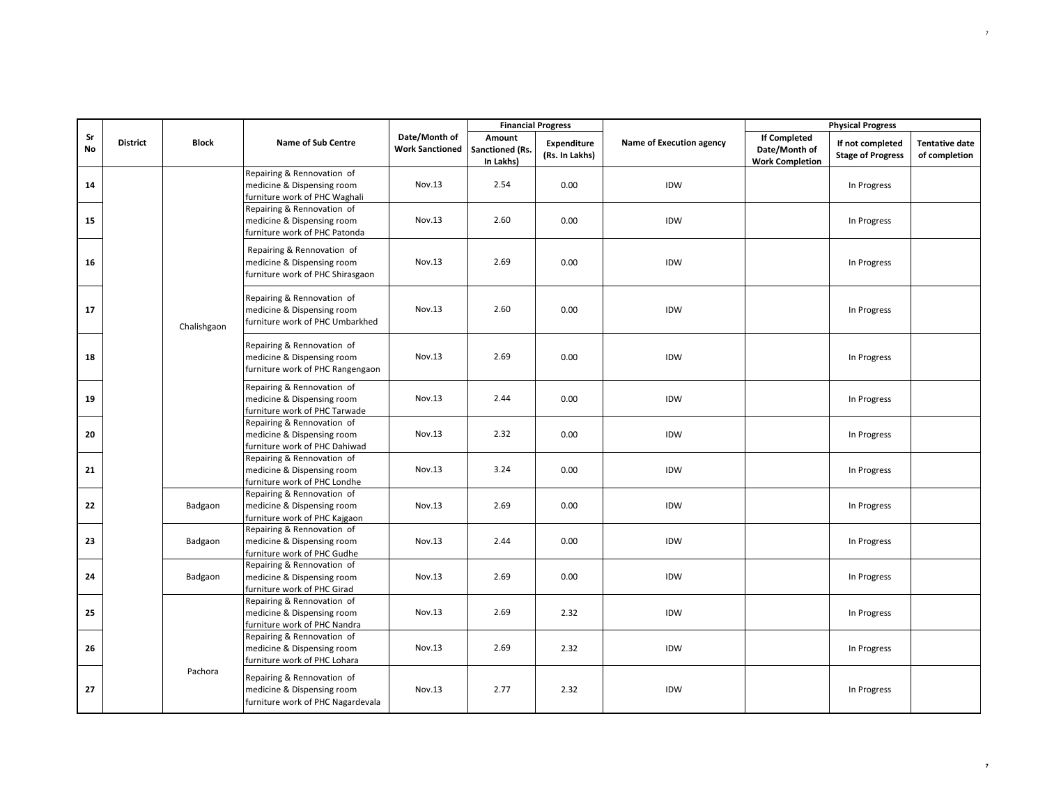|          |                 |              |                                                                                               |                                         |                                        | <b>Financial Progress</b>     |                          |                                                                | <b>Physical Progress</b>                     |                                        |
|----------|-----------------|--------------|-----------------------------------------------------------------------------------------------|-----------------------------------------|----------------------------------------|-------------------------------|--------------------------|----------------------------------------------------------------|----------------------------------------------|----------------------------------------|
| Sr<br>No | <b>District</b> | <b>Block</b> | <b>Name of Sub Centre</b>                                                                     | Date/Month of<br><b>Work Sanctioned</b> | Amount<br>Sanctioned (Rs.<br>In Lakhs) | Expenditure<br>(Rs. In Lakhs) | Name of Execution agency | <b>If Completed</b><br>Date/Month of<br><b>Work Completion</b> | If not completed<br><b>Stage of Progress</b> | <b>Tentative date</b><br>of completion |
| 14       |                 |              | Repairing & Rennovation of<br>medicine & Dispensing room<br>furniture work of PHC Waghali     | Nov.13                                  | 2.54                                   | 0.00                          | IDW                      |                                                                | In Progress                                  |                                        |
| 15       |                 |              | Repairing & Rennovation of<br>medicine & Dispensing room<br>furniture work of PHC Patonda     | Nov.13                                  | 2.60                                   | 0.00                          | IDW                      |                                                                | In Progress                                  |                                        |
| 16       |                 |              | Repairing & Rennovation of<br>medicine & Dispensing room<br>furniture work of PHC Shirasgaon  | Nov.13                                  | 2.69                                   | 0.00                          | IDW                      |                                                                | In Progress                                  |                                        |
| 17       |                 | Chalishgaon  | Repairing & Rennovation of<br>medicine & Dispensing room<br>furniture work of PHC Umbarkhed   | Nov.13                                  | 2.60                                   | 0.00                          | IDW                      |                                                                | In Progress                                  |                                        |
| 18       |                 |              | Repairing & Rennovation of<br>medicine & Dispensing room<br>furniture work of PHC Rangengaon  | Nov.13                                  | 2.69                                   | 0.00                          | IDW                      |                                                                | In Progress                                  |                                        |
| 19       |                 |              | Repairing & Rennovation of<br>medicine & Dispensing room<br>furniture work of PHC Tarwade     | Nov.13                                  | 2.44                                   | 0.00                          | IDW                      |                                                                | In Progress                                  |                                        |
| 20       |                 |              | Repairing & Rennovation of<br>medicine & Dispensing room<br>furniture work of PHC Dahiwad     | Nov.13                                  | 2.32                                   | 0.00                          | IDW                      |                                                                | In Progress                                  |                                        |
| 21       |                 |              | Repairing & Rennovation of<br>medicine & Dispensing room<br>furniture work of PHC Londhe      | Nov.13                                  | 3.24                                   | 0.00                          | IDW                      |                                                                | In Progress                                  |                                        |
| 22       |                 | Badgaon      | Repairing & Rennovation of<br>medicine & Dispensing room<br>furniture work of PHC Kajgaon     | Nov.13                                  | 2.69                                   | 0.00                          | IDW                      |                                                                | In Progress                                  |                                        |
| 23       |                 | Badgaon      | Repairing & Rennovation of<br>medicine & Dispensing room<br>furniture work of PHC Gudhe       | Nov.13                                  | 2.44                                   | 0.00                          | IDW                      |                                                                | In Progress                                  |                                        |
| 24       |                 | Badgaon      | Repairing & Rennovation of<br>medicine & Dispensing room<br>furniture work of PHC Girad       | Nov.13                                  | 2.69                                   | 0.00                          | IDW                      |                                                                | In Progress                                  |                                        |
| 25       |                 |              | Repairing & Rennovation of<br>medicine & Dispensing room<br>furniture work of PHC Nandra      | Nov.13                                  | 2.69                                   | 2.32                          | IDW                      |                                                                | In Progress                                  |                                        |
| 26       |                 |              | Repairing & Rennovation of<br>medicine & Dispensing room<br>furniture work of PHC Lohara      | Nov.13                                  | 2.69                                   | 2.32                          | IDW                      |                                                                | In Progress                                  |                                        |
| 27       |                 | Pachora      | Repairing & Rennovation of<br>medicine & Dispensing room<br>furniture work of PHC Nagardevala | Nov.13                                  | 2.77                                   | 2.32                          | IDW                      |                                                                | In Progress                                  |                                        |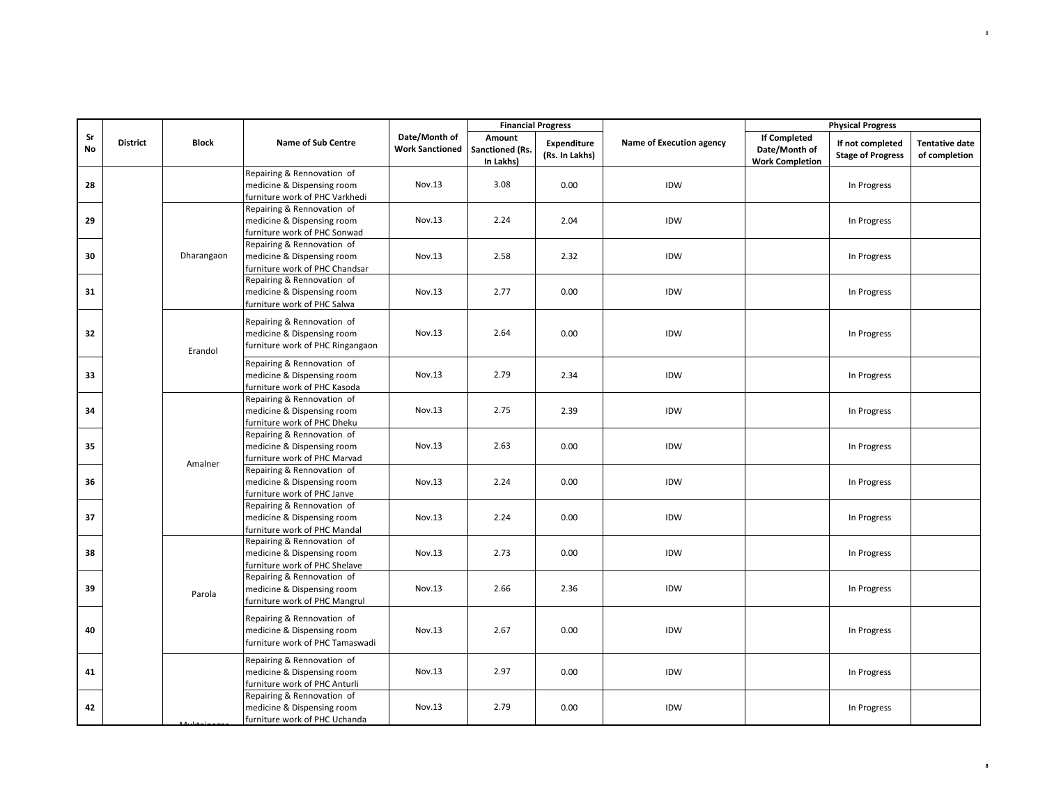|          |                 |              |                                                                                              |                                         |                                        | <b>Financial Progress</b>     |                          |                                                                | <b>Physical Progress</b>                     |                                        |
|----------|-----------------|--------------|----------------------------------------------------------------------------------------------|-----------------------------------------|----------------------------------------|-------------------------------|--------------------------|----------------------------------------------------------------|----------------------------------------------|----------------------------------------|
| Sr<br>No | <b>District</b> | <b>Block</b> | <b>Name of Sub Centre</b>                                                                    | Date/Month of<br><b>Work Sanctioned</b> | Amount<br>Sanctioned (Rs.<br>In Lakhs) | Expenditure<br>(Rs. In Lakhs) | Name of Execution agency | <b>If Completed</b><br>Date/Month of<br><b>Work Completion</b> | If not completed<br><b>Stage of Progress</b> | <b>Tentative date</b><br>of completion |
| 28       |                 |              | Repairing & Rennovation of<br>medicine & Dispensing room<br>furniture work of PHC Varkhedi   | Nov.13                                  | 3.08                                   | 0.00                          | IDW                      |                                                                | In Progress                                  |                                        |
| 29       |                 |              | Repairing & Rennovation of<br>medicine & Dispensing room<br>furniture work of PHC Sonwad     | Nov.13                                  | 2.24                                   | 2.04                          | IDW                      |                                                                | In Progress                                  |                                        |
| 30       |                 | Dharangaon   | Repairing & Rennovation of<br>medicine & Dispensing room<br>furniture work of PHC Chandsar   | Nov.13                                  | 2.58                                   | 2.32                          | IDW                      |                                                                | In Progress                                  |                                        |
| 31       |                 |              | Repairing & Rennovation of<br>medicine & Dispensing room<br>furniture work of PHC Salwa      | Nov.13                                  | 2.77                                   | 0.00                          | IDW                      |                                                                | In Progress                                  |                                        |
| 32       |                 | Erandol      | Repairing & Rennovation of<br>medicine & Dispensing room<br>furniture work of PHC Ringangaon | Nov.13                                  | 2.64                                   | 0.00                          | IDW                      |                                                                | In Progress                                  |                                        |
| 33       |                 |              | Repairing & Rennovation of<br>medicine & Dispensing room<br>furniture work of PHC Kasoda     | Nov.13                                  | 2.79                                   | 2.34                          | IDW                      |                                                                | In Progress                                  |                                        |
| 34       |                 |              | Repairing & Rennovation of<br>medicine & Dispensing room<br>furniture work of PHC Dheku      | Nov.13                                  | 2.75                                   | 2.39                          | IDW                      |                                                                | In Progress                                  |                                        |
| 35       |                 | Amalner      | Repairing & Rennovation of<br>medicine & Dispensing room<br>furniture work of PHC Marvad     | Nov.13                                  | 2.63                                   | 0.00                          | IDW                      |                                                                | In Progress                                  |                                        |
| 36       |                 |              | Repairing & Rennovation of<br>medicine & Dispensing room<br>furniture work of PHC Janve      | Nov.13                                  | 2.24                                   | 0.00                          | IDW                      |                                                                | In Progress                                  |                                        |
| 37       |                 |              | Repairing & Rennovation of<br>medicine & Dispensing room<br>furniture work of PHC Mandal     | Nov.13                                  | 2.24                                   | 0.00                          | IDW                      |                                                                | In Progress                                  |                                        |
| 38       |                 |              | Repairing & Rennovation of<br>medicine & Dispensing room<br>furniture work of PHC Shelave    | Nov.13                                  | 2.73                                   | 0.00                          | IDW                      |                                                                | In Progress                                  |                                        |
| 39       |                 | Parola       | Repairing & Rennovation of<br>medicine & Dispensing room<br>furniture work of PHC Mangrul    | Nov.13                                  | 2.66                                   | 2.36                          | IDW                      |                                                                | In Progress                                  |                                        |
| 40       |                 |              | Repairing & Rennovation of<br>medicine & Dispensing room<br>furniture work of PHC Tamaswadi  | Nov.13                                  | 2.67                                   | 0.00                          | IDW                      |                                                                | In Progress                                  |                                        |
| 41       |                 |              | Repairing & Rennovation of<br>medicine & Dispensing room<br>furniture work of PHC Anturli    | Nov.13                                  | 2.97                                   | 0.00                          | IDW                      |                                                                | In Progress                                  |                                        |
| 42       |                 |              | Repairing & Rennovation of<br>medicine & Dispensing room<br>furniture work of PHC Uchanda    | Nov.13                                  | 2.79                                   | 0.00                          | IDW                      |                                                                | In Progress                                  |                                        |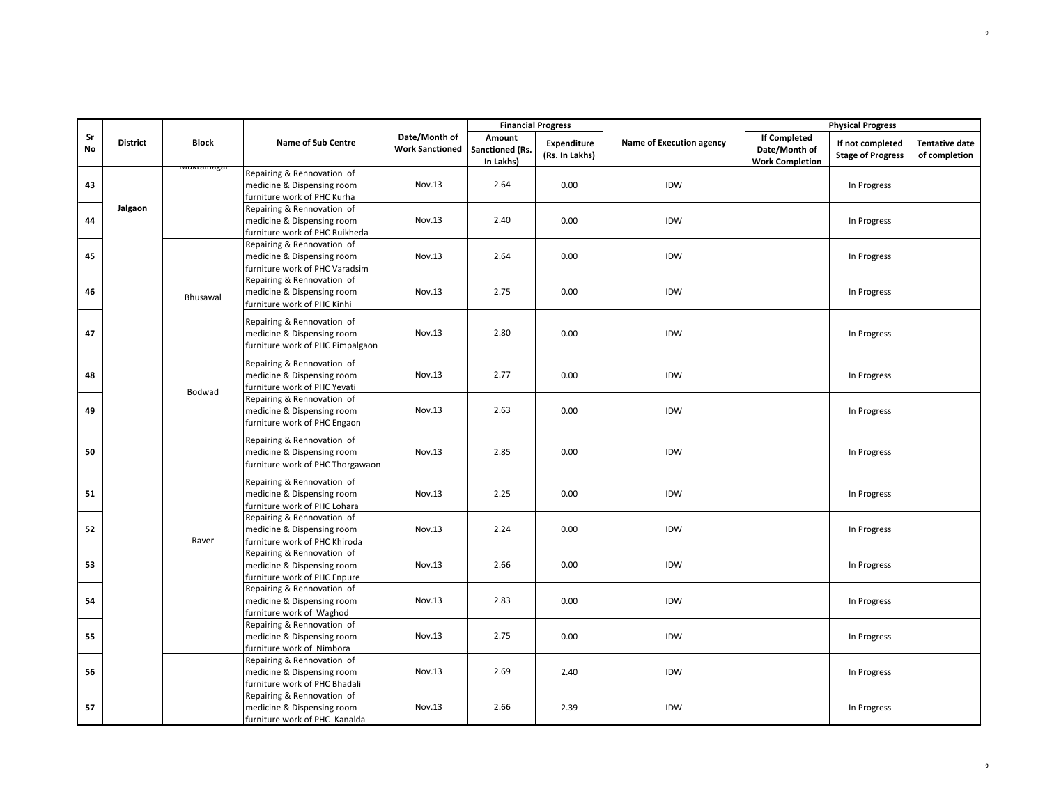|          |                 |                             |                                                                                              |                                         |                                        | <b>Financial Progress</b>            |                          |                                                                | <b>Physical Progress</b>                     |                                        |
|----------|-----------------|-----------------------------|----------------------------------------------------------------------------------------------|-----------------------------------------|----------------------------------------|--------------------------------------|--------------------------|----------------------------------------------------------------|----------------------------------------------|----------------------------------------|
| Sr<br>No | <b>District</b> | <b>Block</b><br>viuntamagai | <b>Name of Sub Centre</b>                                                                    | Date/Month of<br><b>Work Sanctioned</b> | Amount<br>Sanctioned (Rs.<br>In Lakhs) | <b>Expenditure</b><br>(Rs. In Lakhs) | Name of Execution agency | <b>If Completed</b><br>Date/Month of<br><b>Work Completion</b> | If not completed<br><b>Stage of Progress</b> | <b>Tentative date</b><br>of completion |
| 43       |                 |                             | Repairing & Rennovation of<br>medicine & Dispensing room<br>furniture work of PHC Kurha      | Nov.13                                  | 2.64                                   | 0.00                                 | IDW                      |                                                                | In Progress                                  |                                        |
| 44       | Jalgaon         |                             | Repairing & Rennovation of<br>medicine & Dispensing room<br>furniture work of PHC Ruikheda   | Nov.13                                  | 2.40                                   | 0.00                                 | IDW                      |                                                                | In Progress                                  |                                        |
| 45       |                 |                             | Repairing & Rennovation of<br>medicine & Dispensing room<br>furniture work of PHC Varadsim   | Nov.13                                  | 2.64                                   | 0.00                                 | IDW                      |                                                                | In Progress                                  |                                        |
| 46       |                 | Bhusawal                    | Repairing & Rennovation of<br>medicine & Dispensing room<br>furniture work of PHC Kinhi      | Nov.13                                  | 2.75                                   | 0.00                                 | IDW                      |                                                                | In Progress                                  |                                        |
| 47       |                 |                             | Repairing & Rennovation of<br>medicine & Dispensing room<br>furniture work of PHC Pimpalgaon | Nov.13                                  | 2.80                                   | 0.00                                 | IDW                      |                                                                | In Progress                                  |                                        |
| 48       |                 | Bodwad                      | Repairing & Rennovation of<br>medicine & Dispensing room<br>furniture work of PHC Yevati     | Nov.13                                  | 2.77                                   | 0.00                                 | IDW                      |                                                                | In Progress                                  |                                        |
| 49       |                 |                             | Repairing & Rennovation of<br>medicine & Dispensing room<br>furniture work of PHC Engaon     | Nov.13                                  | 2.63                                   | 0.00                                 | IDW                      |                                                                | In Progress                                  |                                        |
| 50       |                 |                             | Repairing & Rennovation of<br>medicine & Dispensing room<br>furniture work of PHC Thorgawaon | Nov.13                                  | 2.85                                   | 0.00                                 | IDW                      |                                                                | In Progress                                  |                                        |
| 51       |                 |                             | Repairing & Rennovation of<br>medicine & Dispensing room<br>furniture work of PHC Lohara     | Nov.13                                  | 2.25                                   | 0.00                                 | IDW                      |                                                                | In Progress                                  |                                        |
| 52       |                 | Raver                       | Repairing & Rennovation of<br>medicine & Dispensing room<br>furniture work of PHC Khiroda    | Nov.13                                  | 2.24                                   | 0.00                                 | IDW                      |                                                                | In Progress                                  |                                        |
| 53       |                 |                             | Repairing & Rennovation of<br>medicine & Dispensing room<br>furniture work of PHC Enpure     | Nov.13                                  | 2.66                                   | 0.00                                 | IDW                      |                                                                | In Progress                                  |                                        |
| 54       |                 |                             | Repairing & Rennovation of<br>medicine & Dispensing room<br>furniture work of Waghod         | Nov.13                                  | 2.83                                   | 0.00                                 | IDW                      |                                                                | In Progress                                  |                                        |
| 55       |                 |                             | Repairing & Rennovation of<br>medicine & Dispensing room<br>furniture work of Nimbora        | Nov.13                                  | 2.75                                   | 0.00                                 | IDW                      |                                                                | In Progress                                  |                                        |
| 56       |                 |                             | Repairing & Rennovation of<br>medicine & Dispensing room<br>furniture work of PHC Bhadali    | Nov.13                                  | 2.69                                   | 2.40                                 | IDW                      |                                                                | In Progress                                  |                                        |
| 57       |                 |                             | Repairing & Rennovation of<br>medicine & Dispensing room<br>furniture work of PHC Kanalda    | Nov.13                                  | 2.66                                   | 2.39                                 | IDW                      |                                                                | In Progress                                  |                                        |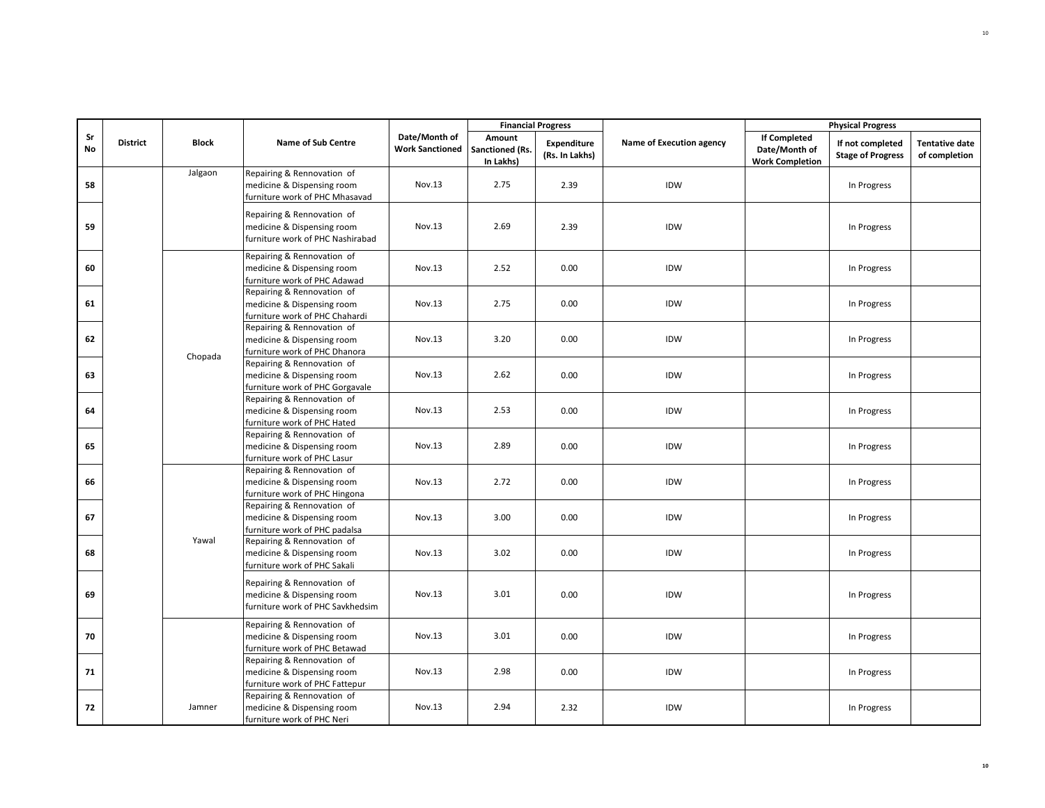|          |                 |              |                                                                                              |                                         | <b>Financial Progress</b>              |                                      |                          |                                                                | <b>Physical Progress</b>                     |                                        |
|----------|-----------------|--------------|----------------------------------------------------------------------------------------------|-----------------------------------------|----------------------------------------|--------------------------------------|--------------------------|----------------------------------------------------------------|----------------------------------------------|----------------------------------------|
| Sr<br>No | <b>District</b> | <b>Block</b> | <b>Name of Sub Centre</b>                                                                    | Date/Month of<br><b>Work Sanctioned</b> | Amount<br>Sanctioned (Rs.<br>In Lakhs) | <b>Expenditure</b><br>(Rs. In Lakhs) | Name of Execution agency | <b>If Completed</b><br>Date/Month of<br><b>Work Completion</b> | If not completed<br><b>Stage of Progress</b> | <b>Tentative date</b><br>of completion |
| 58       |                 | Jalgaon      | Repairing & Rennovation of<br>medicine & Dispensing room<br>furniture work of PHC Mhasavad   | Nov.13                                  | 2.75                                   | 2.39                                 | IDW                      |                                                                | In Progress                                  |                                        |
| 59       |                 |              | Repairing & Rennovation of<br>medicine & Dispensing room<br>furniture work of PHC Nashirabad | Nov.13                                  | 2.69                                   | 2.39                                 | IDW                      |                                                                | In Progress                                  |                                        |
| 60       |                 |              | Repairing & Rennovation of<br>medicine & Dispensing room<br>furniture work of PHC Adawad     | Nov.13                                  | 2.52                                   | 0.00                                 | IDW                      |                                                                | In Progress                                  |                                        |
| 61       |                 |              | Repairing & Rennovation of<br>medicine & Dispensing room<br>furniture work of PHC Chahardi   | Nov.13                                  | 2.75                                   | 0.00                                 | IDW                      |                                                                | In Progress                                  |                                        |
| 62       |                 | Chopada      | Repairing & Rennovation of<br>medicine & Dispensing room<br>furniture work of PHC Dhanora    | Nov.13                                  | 3.20                                   | 0.00                                 | IDW                      |                                                                | In Progress                                  |                                        |
| 63       |                 |              | Repairing & Rennovation of<br>medicine & Dispensing room<br>furniture work of PHC Gorgavale  | Nov.13                                  | 2.62                                   | 0.00                                 | IDW                      |                                                                | In Progress                                  |                                        |
| 64       |                 |              | Repairing & Rennovation of<br>medicine & Dispensing room<br>furniture work of PHC Hated      | Nov.13                                  | 2.53                                   | 0.00                                 | IDW                      |                                                                | In Progress                                  |                                        |
| 65       |                 |              | Repairing & Rennovation of<br>medicine & Dispensing room<br>furniture work of PHC Lasur      | Nov.13                                  | 2.89                                   | 0.00                                 | IDW                      |                                                                | In Progress                                  |                                        |
| 66       |                 |              | Repairing & Rennovation of<br>medicine & Dispensing room<br>furniture work of PHC Hingona    | Nov.13                                  | 2.72                                   | 0.00                                 | IDW                      |                                                                | In Progress                                  |                                        |
| 67       |                 |              | Repairing & Rennovation of<br>medicine & Dispensing room<br>furniture work of PHC padalsa    | Nov.13                                  | 3.00                                   | 0.00                                 | IDW                      |                                                                | In Progress                                  |                                        |
| 68       |                 | Yawal        | Repairing & Rennovation of<br>medicine & Dispensing room<br>furniture work of PHC Sakali     | Nov.13                                  | 3.02                                   | 0.00                                 | IDW                      |                                                                | In Progress                                  |                                        |
| 69       |                 |              | Repairing & Rennovation of<br>medicine & Dispensing room<br>furniture work of PHC Savkhedsim | Nov.13                                  | 3.01                                   | 0.00                                 | IDW                      |                                                                | In Progress                                  |                                        |
| 70       |                 |              | Repairing & Rennovation of<br>medicine & Dispensing room<br>furniture work of PHC Betawad    | Nov.13                                  | 3.01                                   | 0.00                                 | IDW                      |                                                                | In Progress                                  |                                        |
| 71       |                 |              | Repairing & Rennovation of<br>medicine & Dispensing room<br>furniture work of PHC Fattepur   | Nov.13                                  | 2.98                                   | 0.00                                 | IDW                      |                                                                | In Progress                                  |                                        |
| 72       |                 | Jamner       | Repairing & Rennovation of<br>medicine & Dispensing room<br>furniture work of PHC Neri       | Nov.13                                  | 2.94                                   | 2.32                                 | IDW                      |                                                                | In Progress                                  |                                        |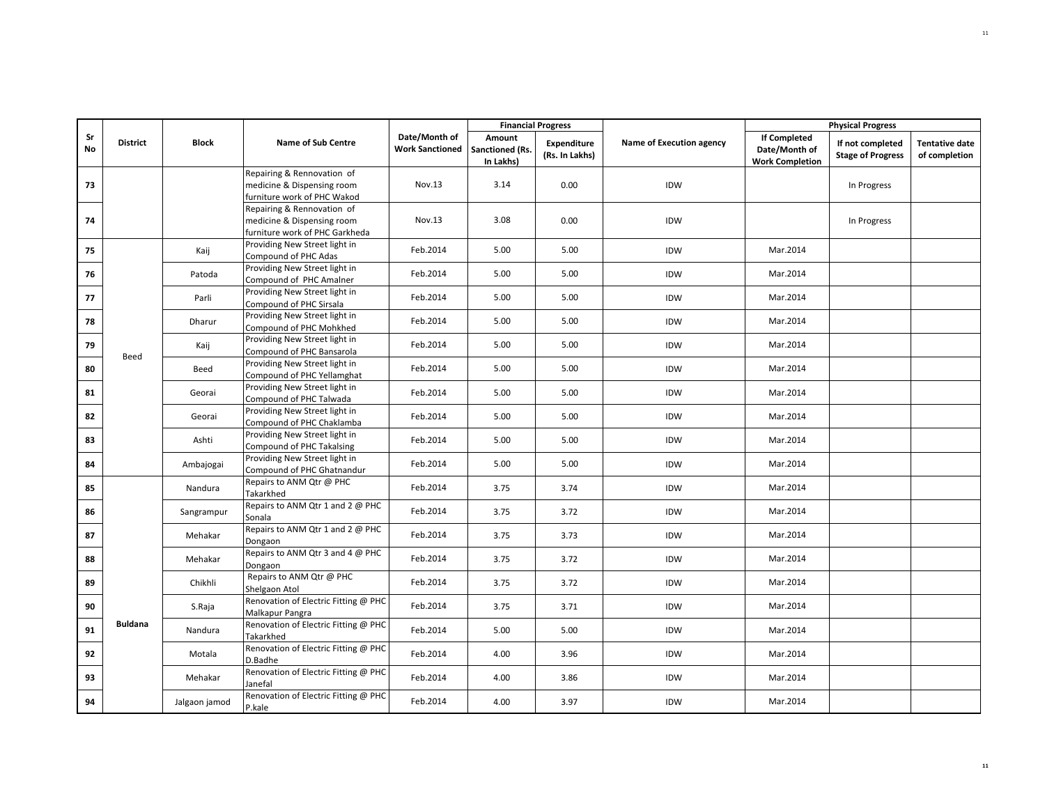|          |                 |               |                                                                                            |                                         | <b>Financial Progress</b>              |                               |                          |                                                                | <b>Physical Progress</b>                     |                                        |
|----------|-----------------|---------------|--------------------------------------------------------------------------------------------|-----------------------------------------|----------------------------------------|-------------------------------|--------------------------|----------------------------------------------------------------|----------------------------------------------|----------------------------------------|
| Sr<br>No | <b>District</b> | <b>Block</b>  | <b>Name of Sub Centre</b>                                                                  | Date/Month of<br><b>Work Sanctioned</b> | Amount<br>Sanctioned (Rs.<br>In Lakhs) | Expenditure<br>(Rs. In Lakhs) | Name of Execution agency | <b>If Completed</b><br>Date/Month of<br><b>Work Completion</b> | If not completed<br><b>Stage of Progress</b> | <b>Tentative date</b><br>of completion |
| 73       |                 |               | Repairing & Rennovation of<br>medicine & Dispensing room<br>furniture work of PHC Wakod    | Nov.13                                  | 3.14                                   | 0.00                          | IDW                      |                                                                | In Progress                                  |                                        |
| 74       |                 |               | Repairing & Rennovation of<br>medicine & Dispensing room<br>furniture work of PHC Garkheda | Nov.13                                  | 3.08                                   | 0.00                          | IDW                      |                                                                | In Progress                                  |                                        |
| 75       |                 | Kaij          | Providing New Street light in<br>Compound of PHC Adas                                      | Feb.2014                                | 5.00                                   | 5.00                          | IDW                      | Mar.2014                                                       |                                              |                                        |
| 76       |                 | Patoda        | Providing New Street light in<br>Compound of PHC Amalner                                   | Feb.2014                                | 5.00                                   | 5.00                          | IDW                      | Mar.2014                                                       |                                              |                                        |
| 77       |                 | Parli         | Providing New Street light in<br>Compound of PHC Sirsala                                   | Feb.2014                                | 5.00                                   | 5.00                          | IDW                      | Mar.2014                                                       |                                              |                                        |
| 78       |                 | Dharur        | Providing New Street light in<br>Compound of PHC Mohkhed                                   | Feb.2014                                | 5.00                                   | 5.00                          | IDW                      | Mar.2014                                                       |                                              |                                        |
| 79       | Beed            | Kaij          | Providing New Street light in<br>Compound of PHC Bansarola                                 | Feb.2014                                | 5.00                                   | 5.00                          | IDW                      | Mar.2014                                                       |                                              |                                        |
| 80       |                 | Beed          | Providing New Street light in<br>Compound of PHC Yellamghat                                | Feb.2014                                | 5.00                                   | 5.00                          | IDW                      | Mar.2014                                                       |                                              |                                        |
| 81       |                 | Georai        | Providing New Street light in<br>Compound of PHC Talwada                                   | Feb.2014                                | 5.00                                   | 5.00                          | IDW                      | Mar.2014                                                       |                                              |                                        |
| 82       |                 | Georai        | Providing New Street light in<br>Compound of PHC Chaklamba                                 | Feb.2014                                | 5.00                                   | 5.00                          | IDW                      | Mar.2014                                                       |                                              |                                        |
| 83       |                 | Ashti         | Providing New Street light in<br>Compound of PHC Takalsing                                 | Feb.2014                                | 5.00                                   | 5.00                          | IDW                      | Mar.2014                                                       |                                              |                                        |
| 84       |                 | Ambajogai     | Providing New Street light in<br>Compound of PHC Ghatnandur                                | Feb.2014                                | 5.00                                   | 5.00                          | IDW                      | Mar.2014                                                       |                                              |                                        |
| 85       |                 | Nandura       | Repairs to ANM Qtr @ PHC<br>Takarkhed                                                      | Feb.2014                                | 3.75                                   | 3.74                          | IDW                      | Mar.2014                                                       |                                              |                                        |
| 86       |                 | Sangrampur    | Repairs to ANM Qtr 1 and 2 @ PHC<br>Sonala                                                 | Feb.2014                                | 3.75                                   | 3.72                          | IDW                      | Mar.2014                                                       |                                              |                                        |
| 87       |                 | Mehakar       | Repairs to ANM Qtr 1 and 2 @ PHC<br>Dongaon                                                | Feb.2014                                | 3.75                                   | 3.73                          | IDW                      | Mar.2014                                                       |                                              |                                        |
| 88       |                 | Mehakar       | Repairs to ANM Qtr 3 and 4 @ PHC<br>Dongaon                                                | Feb.2014                                | 3.75                                   | 3.72                          | IDW                      | Mar.2014                                                       |                                              |                                        |
| 89       |                 | Chikhli       | Repairs to ANM Qtr @ PHC<br>Shelgaon Atol                                                  | Feb.2014                                | 3.75                                   | 3.72                          | IDW                      | Mar.2014                                                       |                                              |                                        |
| 90       |                 | S.Raja        | Renovation of Electric Fitting @ PHC<br>Malkapur Pangra                                    | Feb.2014                                | 3.75                                   | 3.71                          | IDW                      | Mar.2014                                                       |                                              |                                        |
| 91       | <b>Buldana</b>  | Nandura       | Renovation of Electric Fitting @ PHC<br>Takarkhed                                          | Feb.2014                                | 5.00                                   | 5.00                          | IDW                      | Mar.2014                                                       |                                              |                                        |
| 92       |                 | Motala        | Renovation of Electric Fitting @ PHC<br>D.Badhe                                            | Feb.2014                                | 4.00                                   | 3.96                          | IDW                      | Mar.2014                                                       |                                              |                                        |
| 93       |                 | Mehakar       | Renovation of Electric Fitting @ PHC<br>Janefal                                            | Feb.2014                                | 4.00                                   | 3.86                          | IDW                      | Mar.2014                                                       |                                              |                                        |
| 94       |                 | Jalgaon jamod | Renovation of Electric Fitting @ PHC<br>P.kale                                             | Feb.2014                                | 4.00                                   | 3.97                          | IDW                      | Mar.2014                                                       |                                              |                                        |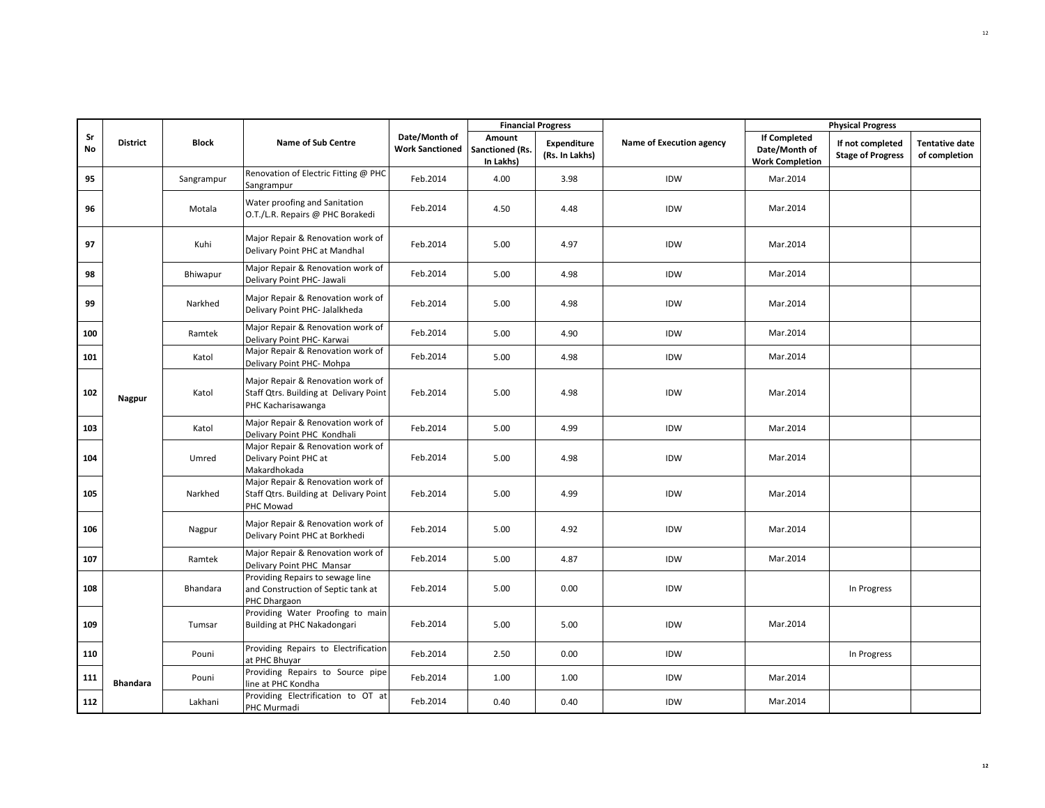|          |                 |              |                                                                                                   |                                         |                                        | <b>Financial Progress</b>     |                          |                                                                | <b>Physical Progress</b>                     |                                        |
|----------|-----------------|--------------|---------------------------------------------------------------------------------------------------|-----------------------------------------|----------------------------------------|-------------------------------|--------------------------|----------------------------------------------------------------|----------------------------------------------|----------------------------------------|
| Sr<br>No | <b>District</b> | <b>Block</b> | <b>Name of Sub Centre</b>                                                                         | Date/Month of<br><b>Work Sanctioned</b> | Amount<br>Sanctioned (Rs.<br>In Lakhs) | Expenditure<br>(Rs. In Lakhs) | Name of Execution agency | <b>If Completed</b><br>Date/Month of<br><b>Work Completion</b> | If not completed<br><b>Stage of Progress</b> | <b>Tentative date</b><br>of completion |
| 95       |                 | Sangrampur   | Renovation of Electric Fitting @ PHC<br>Sangrampur                                                | Feb.2014                                | 4.00                                   | 3.98                          | <b>IDW</b>               | Mar.2014                                                       |                                              |                                        |
| 96       |                 | Motala       | Water proofing and Sanitation<br>O.T./L.R. Repairs @ PHC Borakedi                                 | Feb.2014                                | 4.50                                   | 4.48                          | IDW                      | Mar.2014                                                       |                                              |                                        |
| 97       |                 | Kuhi         | Major Repair & Renovation work of<br>Delivary Point PHC at Mandhal                                | Feb.2014                                | 5.00                                   | 4.97                          | IDW                      | Mar.2014                                                       |                                              |                                        |
| 98       |                 | Bhiwapur     | Major Repair & Renovation work of<br>Delivary Point PHC- Jawali                                   | Feb.2014                                | 5.00                                   | 4.98                          | IDW                      | Mar.2014                                                       |                                              |                                        |
| 99       |                 | Narkhed      | Major Repair & Renovation work of<br>Delivary Point PHC- Jalalkheda                               | Feb.2014                                | 5.00                                   | 4.98                          | IDW                      | Mar.2014                                                       |                                              |                                        |
| 100      |                 | Ramtek       | Major Repair & Renovation work of<br>Delivary Point PHC- Karwai                                   | Feb.2014                                | 5.00                                   | 4.90                          | <b>IDW</b>               | Mar.2014                                                       |                                              |                                        |
| 101      |                 | Katol        | Major Repair & Renovation work of<br>Delivary Point PHC- Mohpa                                    | Feb.2014                                | 5.00                                   | 4.98                          | IDW                      | Mar.2014                                                       |                                              |                                        |
| 102      | Nagpur          | Katol        | Major Repair & Renovation work of<br>Staff Qtrs. Building at Delivary Point<br>PHC Kacharisawanga | Feb.2014                                | 5.00                                   | 4.98                          | IDW                      | Mar.2014                                                       |                                              |                                        |
| 103      |                 | Katol        | Major Repair & Renovation work of<br>Delivary Point PHC Kondhali                                  | Feb.2014                                | 5.00                                   | 4.99                          | IDW                      | Mar.2014                                                       |                                              |                                        |
| 104      |                 | Umred        | Major Repair & Renovation work of<br>Delivary Point PHC at<br>Makardhokada                        | Feb.2014                                | 5.00                                   | 4.98                          | IDW                      | Mar.2014                                                       |                                              |                                        |
| 105      |                 | Narkhed      | Major Repair & Renovation work of<br>Staff Qtrs. Building at Delivary Point<br>PHC Mowad          | Feb.2014                                | 5.00                                   | 4.99                          | IDW                      | Mar.2014                                                       |                                              |                                        |
| 106      |                 | Nagpur       | Major Repair & Renovation work of<br>Delivary Point PHC at Borkhedi                               | Feb.2014                                | 5.00                                   | 4.92                          | IDW                      | Mar.2014                                                       |                                              |                                        |
| 107      |                 | Ramtek       | Major Repair & Renovation work of<br>Delivary Point PHC Mansar                                    | Feb.2014                                | 5.00                                   | 4.87                          | IDW                      | Mar.2014                                                       |                                              |                                        |
| 108      |                 | Bhandara     | Providing Repairs to sewage line<br>and Construction of Septic tank at<br>PHC Dhargaon            | Feb.2014                                | 5.00                                   | 0.00                          | IDW                      |                                                                | In Progress                                  |                                        |
| 109      |                 | Tumsar       | Providing Water Proofing to main<br>Building at PHC Nakadongari                                   | Feb.2014                                | 5.00                                   | 5.00                          | IDW                      | Mar.2014                                                       |                                              |                                        |
| 110      |                 | Pouni        | Providing Repairs to Electrification<br>at PHC Bhuyar                                             | Feb.2014                                | 2.50                                   | 0.00                          | IDW                      |                                                                | In Progress                                  |                                        |
| 111      | <b>Bhandara</b> | Pouni        | Providing Repairs to Source pipe<br>line at PHC Kondha                                            | Feb.2014                                | 1.00                                   | 1.00                          | IDW                      | Mar.2014                                                       |                                              |                                        |
| 112      |                 | Lakhani      | Providing Electrification to OT at<br>PHC Murmadi                                                 | Feb.2014                                | 0.40                                   | 0.40                          | IDW                      | Mar.2014                                                       |                                              |                                        |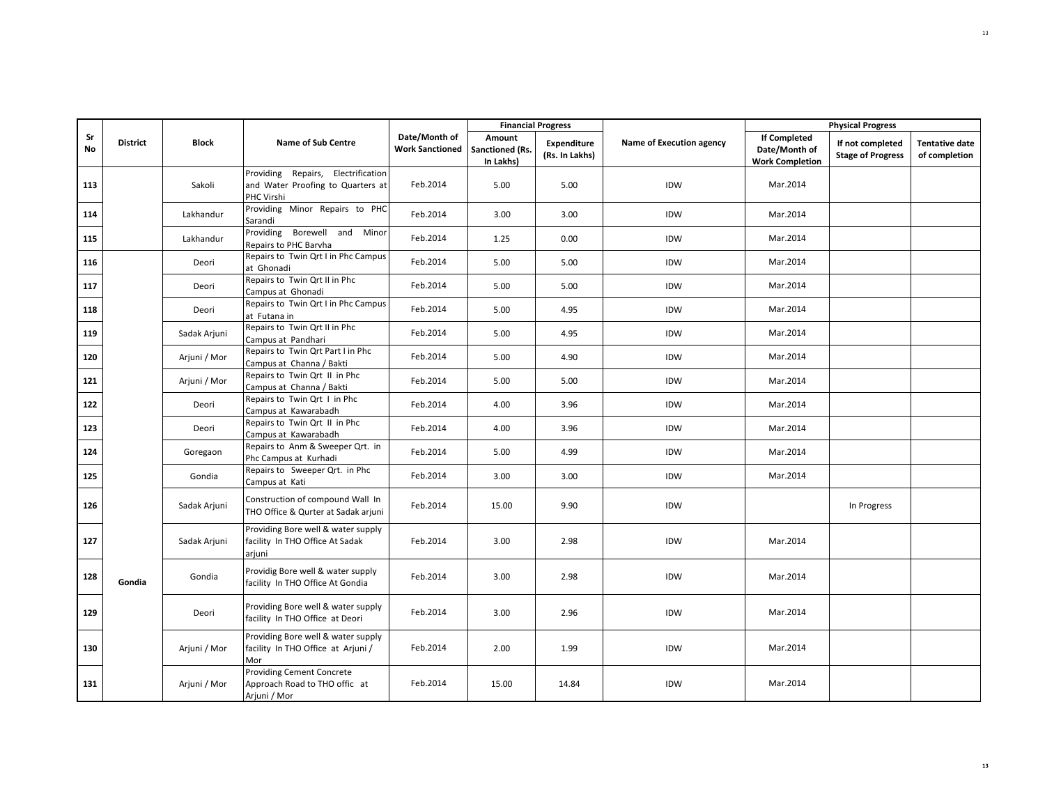|          |                 |              |                                                                                              |                                         |                                        | <b>Financial Progress</b>            |                          |                                                                | <b>Physical Progress</b>                     |                                        |
|----------|-----------------|--------------|----------------------------------------------------------------------------------------------|-----------------------------------------|----------------------------------------|--------------------------------------|--------------------------|----------------------------------------------------------------|----------------------------------------------|----------------------------------------|
| Sr<br>No | <b>District</b> | <b>Block</b> | <b>Name of Sub Centre</b>                                                                    | Date/Month of<br><b>Work Sanctioned</b> | Amount<br>Sanctioned (Rs.<br>In Lakhs) | <b>Expenditure</b><br>(Rs. In Lakhs) | Name of Execution agency | <b>If Completed</b><br>Date/Month of<br><b>Work Completion</b> | If not completed<br><b>Stage of Progress</b> | <b>Tentative date</b><br>of completion |
| 113      |                 | Sakoli       | Providing Repairs, Electrification<br>and Water Proofing to Quarters at<br><b>PHC Virshi</b> | Feb.2014                                | 5.00                                   | 5.00                                 | IDW                      | Mar.2014                                                       |                                              |                                        |
| 114      |                 | Lakhandur    | Providing Minor Repairs to PHC<br>Sarandi                                                    | Feb.2014                                | 3.00                                   | 3.00                                 | IDW                      | Mar.2014                                                       |                                              |                                        |
| 115      |                 | Lakhandur    | Providing Borewell and Minor<br>Repairs to PHC Barvha                                        | Feb.2014                                | 1.25                                   | 0.00                                 | IDW                      | Mar.2014                                                       |                                              |                                        |
| 116      |                 | Deori        | Repairs to Twin Qrt I in Phc Campus<br>at Ghonadi                                            | Feb.2014                                | 5.00                                   | 5.00                                 | IDW                      | Mar.2014                                                       |                                              |                                        |
| 117      |                 | Deori        | Repairs to Twin Qrt II in Phc<br>Campus at Ghonadi                                           | Feb.2014                                | 5.00                                   | 5.00                                 | IDW                      | Mar.2014                                                       |                                              |                                        |
| 118      |                 | Deori        | Repairs to Twin Qrt I in Phc Campus<br>at Futana in                                          | Feb.2014                                | 5.00                                   | 4.95                                 | IDW                      | Mar.2014                                                       |                                              |                                        |
| 119      |                 | Sadak Arjuni | Repairs to Twin Qrt II in Phc<br>Campus at Pandhari                                          | Feb.2014                                | 5.00                                   | 4.95                                 | IDW                      | Mar.2014                                                       |                                              |                                        |
| 120      |                 | Arjuni / Mor | Repairs to Twin Qrt Part I in Phc<br>Campus at Channa / Bakti                                | Feb.2014                                | 5.00                                   | 4.90                                 | IDW                      | Mar.2014                                                       |                                              |                                        |
| 121      |                 | Arjuni / Mor | Repairs to Twin Qrt II in Phc<br>Campus at Channa / Bakti                                    | Feb.2014                                | 5.00                                   | 5.00                                 | IDW                      | Mar.2014                                                       |                                              |                                        |
| 122      |                 | Deori        | Repairs to Twin Qrt I in Phc<br>Campus at Kawarabadh                                         | Feb.2014                                | 4.00                                   | 3.96                                 | IDW                      | Mar.2014                                                       |                                              |                                        |
| 123      |                 | Deori        | Repairs to Twin Qrt II in Phc<br>Campus at Kawarabadh                                        | Feb.2014                                | 4.00                                   | 3.96                                 | IDW                      | Mar.2014                                                       |                                              |                                        |
| 124      |                 | Goregaon     | Repairs to Anm & Sweeper Qrt. in<br>Phc Campus at Kurhadi                                    | Feb.2014                                | 5.00                                   | 4.99                                 | IDW                      | Mar.2014                                                       |                                              |                                        |
| 125      |                 | Gondia       | Repairs to Sweeper Qrt. in Phc<br>Campus at Kati                                             | Feb.2014                                | 3.00                                   | 3.00                                 | IDW                      | Mar.2014                                                       |                                              |                                        |
| 126      |                 | Sadak Arjuni | Construction of compound Wall In<br>THO Office & Qurter at Sadak arjuni                      | Feb.2014                                | 15.00                                  | 9.90                                 | IDW                      |                                                                | In Progress                                  |                                        |
| 127      |                 | Sadak Arjuni | Providing Bore well & water supply<br>facility In THO Office At Sadak<br>arjuni              | Feb.2014                                | 3.00                                   | 2.98                                 | IDW                      | Mar.2014                                                       |                                              |                                        |
| 128      | Gondia          | Gondia       | Providig Bore well & water supply<br>facility In THO Office At Gondia                        | Feb.2014                                | 3.00                                   | 2.98                                 | IDW                      | Mar.2014                                                       |                                              |                                        |
| 129      |                 | Deori        | Providing Bore well & water supply<br>facility In THO Office at Deori                        | Feb.2014                                | 3.00                                   | 2.96                                 | IDW                      | Mar.2014                                                       |                                              |                                        |
| 130      |                 | Arjuni / Mor | Providing Bore well & water supply<br>facility In THO Office at Arjuni /<br>Mor              | Feb.2014                                | 2.00                                   | 1.99                                 | IDW                      | Mar.2014                                                       |                                              |                                        |
| 131      |                 | Arjuni / Mor | <b>Providing Cement Concrete</b><br>Approach Road to THO offic at<br>Arjuni / Mor            | Feb.2014                                | 15.00                                  | 14.84                                | IDW                      | Mar.2014                                                       |                                              |                                        |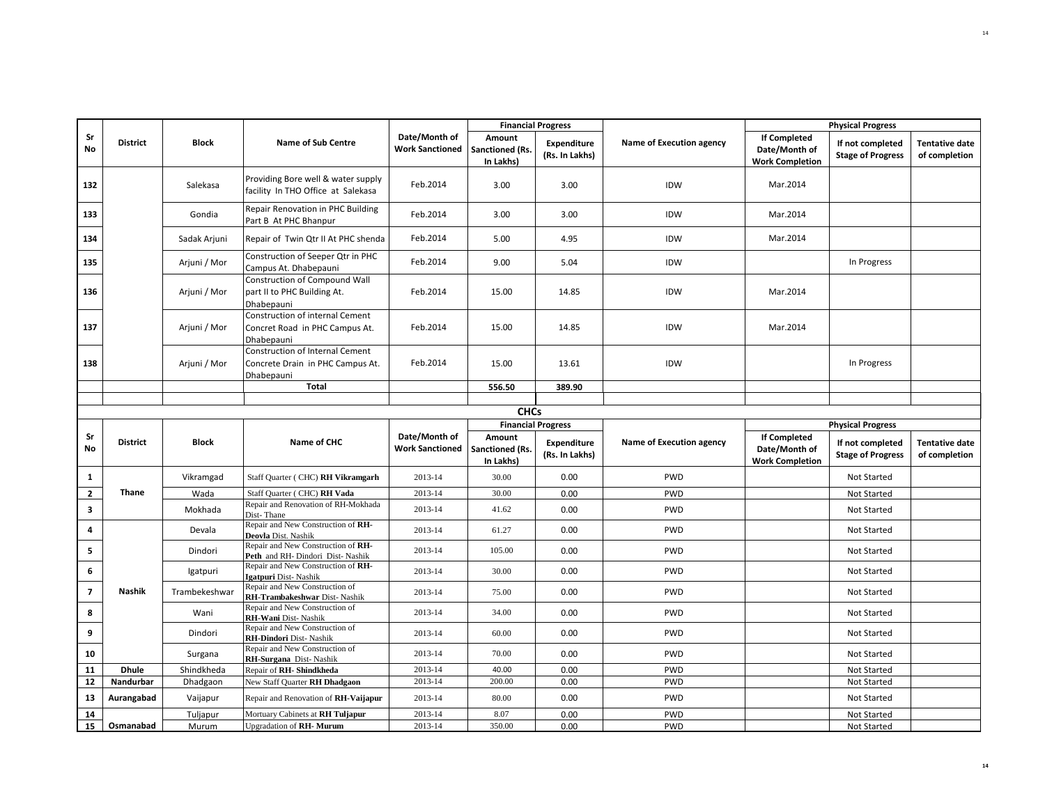|                |                 |                   |                                                                                   |                                         | <b>Financial Progress</b>              |                                      |                          |                                                                | <b>Physical Progress</b>                     |                                        |
|----------------|-----------------|-------------------|-----------------------------------------------------------------------------------|-----------------------------------------|----------------------------------------|--------------------------------------|--------------------------|----------------------------------------------------------------|----------------------------------------------|----------------------------------------|
| Sr<br>No       | <b>District</b> | <b>Block</b>      | <b>Name of Sub Centre</b>                                                         | Date/Month of<br><b>Work Sanctioned</b> | Amount<br>Sanctioned (Rs.<br>In Lakhs) | Expenditure<br>(Rs. In Lakhs)        | Name of Execution agency | <b>If Completed</b><br>Date/Month of<br><b>Work Completion</b> | If not completed<br><b>Stage of Progress</b> | <b>Tentative date</b><br>of completion |
| 132            |                 | Salekasa          | Providing Bore well & water supply<br>facility In THO Office at Salekasa          | Feb.2014                                | 3.00                                   | 3.00                                 | IDW                      | Mar.2014                                                       |                                              |                                        |
| 133            |                 | Gondia            | Repair Renovation in PHC Building<br>Part B At PHC Bhanpur                        | Feb.2014                                | 3.00                                   | 3.00                                 | IDW                      | Mar.2014                                                       |                                              |                                        |
| 134            |                 | Sadak Arjuni      | Repair of Twin Qtr II At PHC shenda                                               | Feb.2014                                | 5.00                                   | 4.95                                 | IDW                      | Mar.2014                                                       |                                              |                                        |
| 135            |                 | Arjuni / Mor      | Construction of Seeper Qtr in PHC<br>Campus At. Dhabepauni                        | Feb.2014                                | 9.00                                   | 5.04                                 | IDW                      |                                                                | In Progress                                  |                                        |
| 136            |                 | Arjuni / Mor      | Construction of Compound Wall<br>part II to PHC Building At.<br>Dhabepauni        | Feb.2014                                | 15.00                                  | 14.85                                | IDW                      | Mar.2014                                                       |                                              |                                        |
| 137            |                 | Arjuni / Mor      | Construction of internal Cement<br>Concret Road in PHC Campus At.<br>Dhabepauni   | Feb.2014                                | 15.00                                  | 14.85                                | IDW                      | Mar.2014                                                       |                                              |                                        |
| 138            |                 | Arjuni / Mor      | Construction of Internal Cement<br>Concrete Drain in PHC Campus At.<br>Dhabepauni | Feb.2014                                | 15.00                                  | 13.61                                | IDW                      |                                                                | In Progress                                  |                                        |
|                |                 |                   | Total                                                                             |                                         | 556.50                                 | 389.90                               |                          |                                                                |                                              |                                        |
|                |                 |                   |                                                                                   |                                         |                                        |                                      |                          |                                                                |                                              |                                        |
|                |                 |                   |                                                                                   |                                         | <b>CHCs</b>                            |                                      |                          |                                                                |                                              |                                        |
|                |                 |                   |                                                                                   |                                         |                                        | <b>Financial Progress</b>            |                          |                                                                | <b>Physical Progress</b>                     |                                        |
|                |                 |                   |                                                                                   |                                         |                                        |                                      |                          |                                                                |                                              |                                        |
| Sr<br>No       | <b>District</b> | <b>Block</b>      | Name of CHC                                                                       | Date/Month of<br><b>Work Sanctioned</b> | Amount<br>Sanctioned (Rs.<br>In Lakhs) | <b>Expenditure</b><br>(Rs. In Lakhs) | Name of Execution agency | <b>If Completed</b><br>Date/Month of<br><b>Work Completion</b> | If not completed<br><b>Stage of Progress</b> | <b>Tentative date</b><br>of completion |
| $\mathbf{1}$   |                 | Vikramgad         | Staff Quarter (CHC) RH Vikramgarh                                                 | 2013-14                                 | 30.00                                  | 0.00                                 | PWD                      |                                                                | Not Started                                  |                                        |
| $\overline{2}$ | Thane           | Wada              | Staff Quarter (CHC) RH Vada                                                       | 2013-14                                 | 30.00                                  | 0.00                                 | PWD                      |                                                                | Not Started                                  |                                        |
| 3              |                 | Mokhada           | Repair and Renovation of RH-Mokhada<br>Dist-Thane                                 | 2013-14                                 | 41.62                                  | 0.00                                 | <b>PWD</b>               |                                                                | Not Started                                  |                                        |
| 4              |                 | Devala            | Repair and New Construction of RH-<br>Deovla Dist. Nashik                         | 2013-14                                 | 61.27                                  | 0.00                                 | PWD                      |                                                                | Not Started                                  |                                        |
| 5              |                 | Dindori           | Repair and New Construction of RH-<br>Peth and RH- Dindori Dist- Nashik           | 2013-14                                 | 105.00                                 | 0.00                                 | <b>PWD</b>               |                                                                | Not Started                                  |                                        |
| 6              |                 | Igatpuri          | Repair and New Construction of RH-<br>Igatpuri Dist-Nashik                        | 2013-14                                 | 30.00                                  | 0.00                                 | PWD                      |                                                                | Not Started                                  |                                        |
| $\overline{7}$ | Nashik          | Trambekeshwar     | Repair and New Construction of<br>RH-Trambakeshwar Dist-Nashik                    | 2013-14                                 | 75.00                                  | 0.00                                 | <b>PWD</b>               |                                                                | Not Started                                  |                                        |
| 8              |                 | Wani              | Repair and New Construction of<br>RH-Wani Dist-Nashik                             | 2013-14                                 | 34.00                                  | 0.00                                 | <b>PWD</b>               |                                                                | Not Started                                  |                                        |
| 9              |                 | Dindori           | Repair and New Construction of<br><b>RH-Dindori</b> Dist-Nashik                   | 2013-14                                 | 60.00                                  | 0.00                                 | <b>PWD</b>               |                                                                | Not Started                                  |                                        |
| 10             |                 | Surgana           | Repair and New Construction of<br>RH-Surgana Dist-Nashik                          | 2013-14                                 | 70.00                                  | 0.00                                 | <b>PWD</b>               |                                                                | Not Started                                  |                                        |
| 11             | <b>Dhule</b>    | Shindkheda        | Repair of RH-Shindkheda                                                           | 2013-14                                 | 40.00                                  | 0.00                                 | PWD                      |                                                                | Not Started                                  |                                        |
| 12             | Nandurbar       | Dhadgaon          | New Staff Quarter RH Dhadgaon                                                     | 2013-14                                 | 200.00                                 | 0.00                                 | PWD                      |                                                                | Not Started                                  |                                        |
| 13             | Aurangabad      | Vaijapur          | Repair and Renovation of RH-Vaijapur                                              | 2013-14                                 | 80.00                                  | 0.00                                 | <b>PWD</b>               |                                                                | Not Started                                  |                                        |
| 14<br>15       | Osmanabad       | Tuljapur<br>Murum | Mortuary Cabinets at RH Tuljapur<br>Upgradation of RH- Murum                      | 2013-14<br>2013-14                      | 8.07<br>350.00                         | 0.00<br>0.00                         | <b>PWD</b><br><b>PWD</b> |                                                                | Not Started<br>Not Started                   |                                        |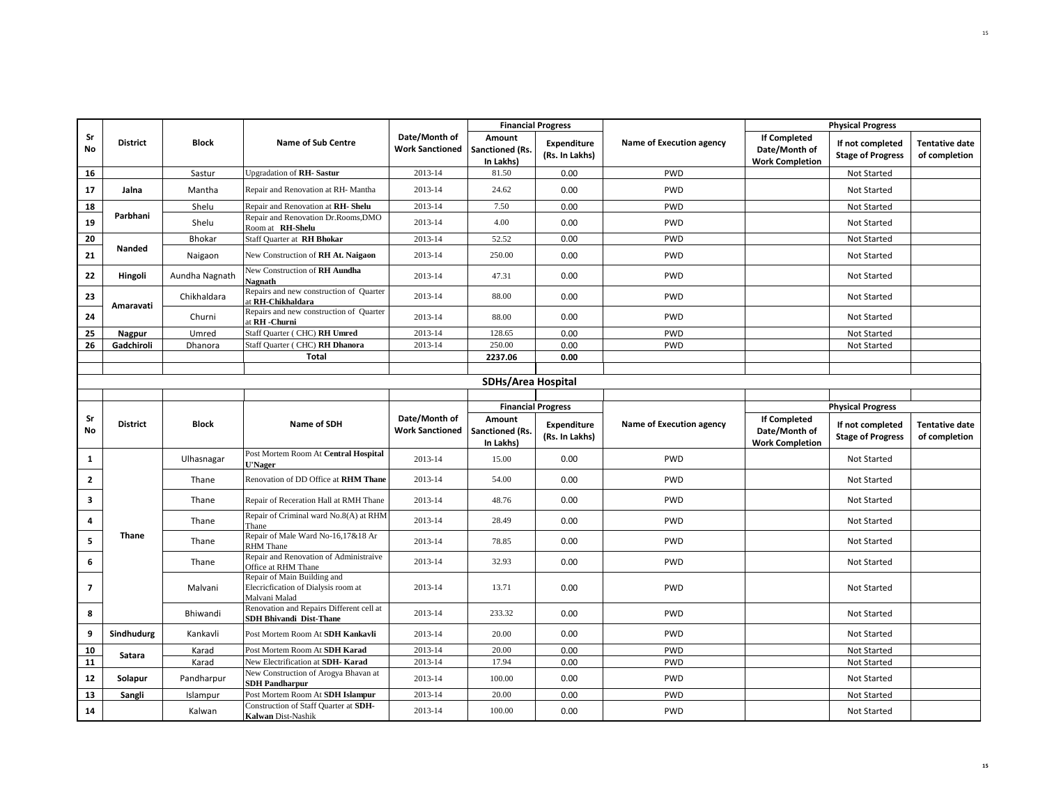|                |                 |                |                                                                                     |                                         | <b>Financial Progress</b>              |                                      |                          | <b>Physical Progress</b>                                       |                                              |                                        |
|----------------|-----------------|----------------|-------------------------------------------------------------------------------------|-----------------------------------------|----------------------------------------|--------------------------------------|--------------------------|----------------------------------------------------------------|----------------------------------------------|----------------------------------------|
| Sr<br>No       | <b>District</b> | <b>Block</b>   | <b>Name of Sub Centre</b>                                                           | Date/Month of<br><b>Work Sanctioned</b> | Amount<br>Sanctioned (Rs.<br>In Lakhs) | <b>Expenditure</b><br>(Rs. In Lakhs) | Name of Execution agency | <b>If Completed</b><br>Date/Month of<br><b>Work Completion</b> | If not completed<br><b>Stage of Progress</b> | <b>Tentative date</b><br>of completion |
| 16             |                 | Sastur         | Upgradation of RH-Sastur                                                            | 2013-14                                 | 81.50                                  | 0.00                                 | <b>PWD</b>               |                                                                | Not Started                                  |                                        |
| 17             | Jalna           | Mantha         | Repair and Renovation at RH- Mantha                                                 | 2013-14                                 | 24.62                                  | 0.00                                 | PWD                      |                                                                | Not Started                                  |                                        |
| 18             |                 | Shelu          | Repair and Renovation at RH-Shelu                                                   | 2013-14                                 | 7.50                                   | 0.00                                 | PWD                      |                                                                | Not Started                                  |                                        |
| 19             | Parbhani        | Shelu          | Repair and Renovation Dr.Rooms, DMO<br>Room at RH-Shelu                             | 2013-14                                 | 4.00                                   | 0.00                                 | PWD                      |                                                                | Not Started                                  |                                        |
| 20             |                 | Bhokar         | Staff Quarter at RH Bhokar                                                          | 2013-14                                 | 52.52                                  | 0.00                                 | <b>PWD</b>               |                                                                | Not Started                                  |                                        |
| 21             | Nanded          | Naigaon        | New Construction of RH At. Naigaon                                                  | 2013-14                                 | 250.00                                 | 0.00                                 | <b>PWD</b>               |                                                                | Not Started                                  |                                        |
| 22             | Hingoli         | Aundha Nagnath | New Construction of RH Aundha<br>Nagnath                                            | 2013-14                                 | 47.31                                  | 0.00                                 | <b>PWD</b>               |                                                                | Not Started                                  |                                        |
| 23             | Amaravati       | Chikhaldara    | Repairs and new construction of Quarter<br>at RH-Chikhaldara                        | 2013-14                                 | 88.00                                  | 0.00                                 | <b>PWD</b>               |                                                                | Not Started                                  |                                        |
| 24             |                 | Churni         | Repairs and new construction of Quarter<br>at RH -Churni                            | 2013-14                                 | 88.00                                  | 0.00                                 | <b>PWD</b>               |                                                                | Not Started                                  |                                        |
| 25             | <b>Nagpur</b>   | Umred          | Staff Quarter (CHC) RH Umred                                                        | 2013-14                                 | 128.65                                 | 0.00                                 | <b>PWD</b>               |                                                                | Not Started                                  |                                        |
| 26             | Gadchiroli      | Dhanora        | Staff Quarter (CHC) RH Dhanora                                                      | 2013-14                                 | 250.00                                 | 0.00                                 | <b>PWD</b>               |                                                                | Not Started                                  |                                        |
|                |                 |                | <b>Total</b>                                                                        |                                         | 2237.06                                | 0.00                                 |                          |                                                                |                                              |                                        |
|                |                 |                |                                                                                     |                                         |                                        |                                      |                          |                                                                |                                              |                                        |
|                |                 |                |                                                                                     |                                         | <b>SDHs/Area Hospital</b>              |                                      |                          |                                                                |                                              |                                        |
|                |                 |                |                                                                                     |                                         |                                        | <b>Financial Progress</b>            |                          | <b>Physical Progress</b>                                       |                                              |                                        |
| Sr<br>No       | <b>District</b> | <b>Block</b>   | Name of SDH                                                                         | Date/Month of<br><b>Work Sanctioned</b> | Amount<br>Sanctioned (Rs.<br>In Lakhs) | Expenditure<br>(Rs. In Lakhs)        | Name of Execution agency | <b>If Completed</b><br>Date/Month of<br><b>Work Completion</b> | If not completed<br><b>Stage of Progress</b> | <b>Tentative date</b><br>of completion |
| 1              |                 | Ulhasnagar     | Post Mortem Room At Central Hospital<br><b>U'Nager</b>                              | 2013-14                                 | 15.00                                  | 0.00                                 | <b>PWD</b>               |                                                                | Not Started                                  |                                        |
| $\mathbf{2}$   |                 | Thane          | Renovation of DD Office at RHM Thane                                                | 2013-14                                 | 54.00                                  | 0.00                                 | PWD                      |                                                                | Not Started                                  |                                        |
| 3              |                 | Thane          | Repair of Receration Hall at RMH Thane                                              | 2013-14                                 | 48.76                                  | 0.00                                 | PWD                      |                                                                | Not Started                                  |                                        |
| 4              |                 | Thane          | Repair of Criminal ward No.8(A) at RHM<br>Thane                                     | 2013-14                                 | 28.49                                  | 0.00                                 | PWD                      |                                                                | Not Started                                  |                                        |
| 5              | Thane           | Thane          | Repair of Male Ward No-16,17&18 Ar<br><b>RHM</b> Thane                              | 2013-14                                 | 78.85                                  | 0.00                                 | <b>PWD</b>               |                                                                | Not Started                                  |                                        |
| 6              |                 | Thane          | Repair and Renovation of Administraive<br>Office at RHM Thane                       | 2013-14                                 | 32.93                                  | 0.00                                 | PWD                      |                                                                | Not Started                                  |                                        |
| $\overline{7}$ |                 | Malvani        | Repair of Main Building and<br>Elecricfication of Dialysis room at<br>Malvani Malad | 2013-14                                 | 13.71                                  | 0.00                                 | PWD                      |                                                                | Not Started                                  |                                        |
| 8              |                 | Bhiwandi       | Renovation and Repairs Different cell at<br><b>SDH Bhivandi Dist-Thane</b>          | 2013-14                                 | 233.32                                 | 0.00                                 | <b>PWD</b>               |                                                                | Not Started                                  |                                        |
| 9              | Sindhudurg      | Kankavli       | Post Mortem Room At SDH Kankavli                                                    | 2013-14                                 | 20.00                                  | 0.00                                 | <b>PWD</b>               |                                                                | Not Started                                  |                                        |
| 10             | Satara          | Karad          | Post Mortem Room At SDH Karad                                                       | 2013-14                                 | 20.00                                  | 0.00                                 | <b>PWD</b>               |                                                                | Not Started                                  |                                        |
| 11             |                 | Karad          | New Electrification at SDH-Karad                                                    | 2013-14                                 | 17.94                                  | 0.00                                 | <b>PWD</b>               |                                                                | Not Started                                  |                                        |
| 12             | Solapur         | Pandharpur     | New Construction of Arogya Bhavan at<br><b>SDH Pandharpur</b>                       | 2013-14                                 | 100.00                                 | 0.00                                 | <b>PWD</b>               |                                                                | Not Started                                  |                                        |
| 13             | Sangli          | Islampur       | Post Mortem Room At SDH Islampur                                                    | 2013-14                                 | 20.00                                  | 0.00                                 | <b>PWD</b>               |                                                                | Not Started                                  |                                        |
| 14             |                 | Kalwan         | Construction of Staff Quarter at SDH-<br>Kalwan Dist-Nashik                         | 2013-14                                 | 100.00                                 | 0.00                                 | PWD                      |                                                                | Not Started                                  |                                        |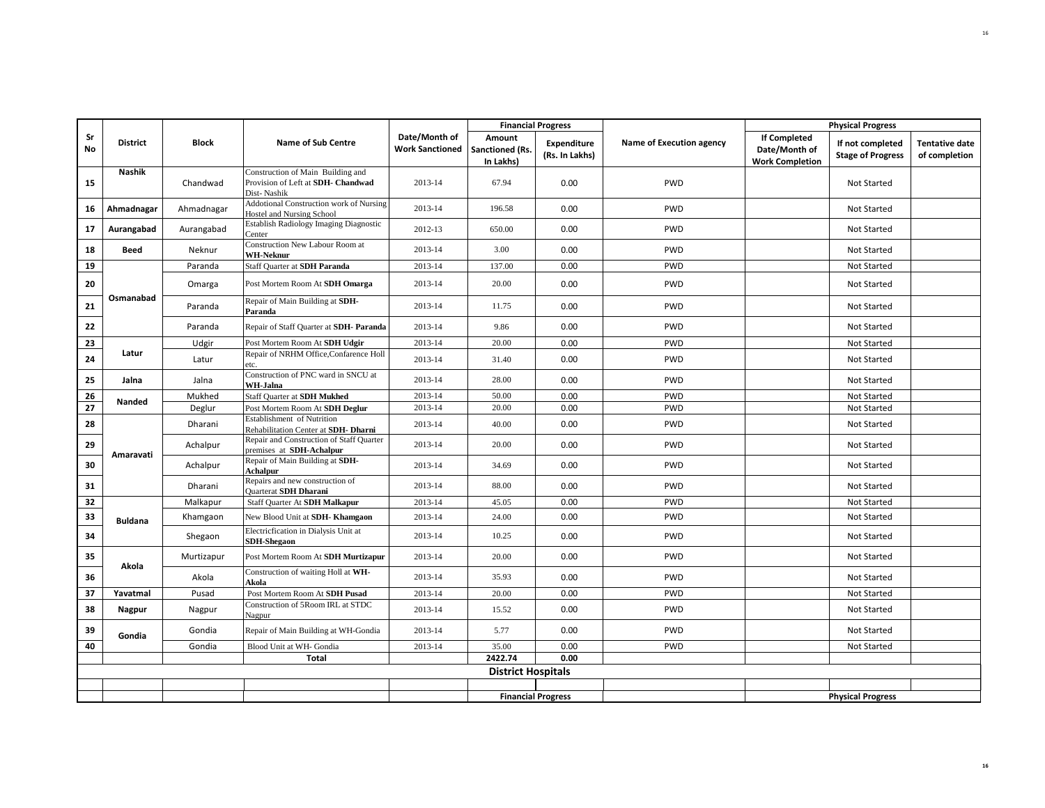|          |                 |              |                                                                                        |                                         | <b>Financial Progress</b>              |                                      |                          | <b>Physical Progress</b>                                       |                                              |                                        |
|----------|-----------------|--------------|----------------------------------------------------------------------------------------|-----------------------------------------|----------------------------------------|--------------------------------------|--------------------------|----------------------------------------------------------------|----------------------------------------------|----------------------------------------|
| Sr<br>No | <b>District</b> | <b>Block</b> | <b>Name of Sub Centre</b>                                                              | Date/Month of<br><b>Work Sanctioned</b> | Amount<br>Sanctioned (Rs.<br>In Lakhs) | <b>Expenditure</b><br>(Rs. In Lakhs) | Name of Execution agency | <b>If Completed</b><br>Date/Month of<br><b>Work Completion</b> | If not completed<br><b>Stage of Progress</b> | <b>Tentative date</b><br>of completion |
| 15       | <b>Nashik</b>   | Chandwad     | Construction of Main Building and<br>Provision of Left at SDH- Chandwad<br>Dist-Nashik | 2013-14                                 | 67.94                                  | 0.00                                 | PWD                      |                                                                | Not Started                                  |                                        |
| 16       | Ahmadnagar      | Ahmadnagar   | <b>Addotional Construction work of Nursing</b><br>Hostel and Nursing School            | 2013-14                                 | 196.58                                 | 0.00                                 | <b>PWD</b>               |                                                                | Not Started                                  |                                        |
| 17       | Aurangabad      | Aurangabad   | Establish Radiology Imaging Diagnostic<br>Center                                       | 2012-13                                 | 650.00                                 | 0.00                                 | <b>PWD</b>               |                                                                | Not Started                                  |                                        |
| 18       | Beed            | Neknur       | Construction New Labour Room at<br><b>WH-Neknur</b>                                    | 2013-14                                 | 3.00                                   | 0.00                                 | PWD                      |                                                                | Not Started                                  |                                        |
| 19       |                 | Paranda      | Staff Quarter at SDH Paranda                                                           | 2013-14                                 | 137.00                                 | 0.00                                 | <b>PWD</b>               |                                                                | Not Started                                  |                                        |
| 20       |                 | Omarga       | Post Mortem Room At SDH Omarga                                                         | 2013-14                                 | 20.00                                  | 0.00                                 | <b>PWD</b>               |                                                                | Not Started                                  |                                        |
| 21       | Osmanabad       | Paranda      | Repair of Main Building at SDH-<br>Paranda                                             | 2013-14                                 | 11.75                                  | 0.00                                 | PWD                      |                                                                | Not Started                                  |                                        |
| 22       |                 | Paranda      | Repair of Staff Quarter at SDH- Paranda                                                | 2013-14                                 | 9.86                                   | 0.00                                 | <b>PWD</b>               |                                                                | Not Started                                  |                                        |
| 23       |                 | Udgir        | Post Mortem Room At SDH Udgir                                                          | 2013-14                                 | 20.00                                  | 0.00                                 | <b>PWD</b>               |                                                                | Not Started                                  |                                        |
| 24       | Latur           | Latur        | Repair of NRHM Office, Confarence Holl<br>etc.                                         | 2013-14                                 | 31.40                                  | 0.00                                 | <b>PWD</b>               |                                                                | Not Started                                  |                                        |
| 25       | Jalna           | Jalna        | Construction of PNC ward in SNCU at<br>WH-Jalna                                        | 2013-14                                 | 28.00                                  | 0.00                                 | <b>PWD</b>               |                                                                | Not Started                                  |                                        |
| 26       | Nanded          | Mukhed       | Staff Quarter at SDH Mukhed                                                            | 2013-14                                 | 50.00                                  | 0.00                                 | <b>PWD</b>               |                                                                | Not Started                                  |                                        |
| 27       |                 | Deglur       | Post Mortem Room At SDH Deglur                                                         | 2013-14                                 | 20.00                                  | 0.00                                 | <b>PWD</b>               |                                                                | Not Started                                  |                                        |
| 28       |                 | Dharani      | <b>Establishment</b> of Nutrition<br>Rehabilitation Center at SDH- Dharni              | 2013-14                                 | 40.00                                  | 0.00                                 | <b>PWD</b>               |                                                                | Not Started                                  |                                        |
| 29       | Amaravati       | Achalpur     | Repair and Construction of Staff Quarter<br>premises at SDH-Achalpur                   | 2013-14                                 | 20.00                                  | 0.00                                 | <b>PWD</b>               |                                                                | Not Started                                  |                                        |
| 30       |                 | Achalpur     | Repair of Main Building at SDH-<br>Achalpur                                            | 2013-14                                 | 34.69                                  | 0.00                                 | PWD                      |                                                                | Not Started                                  |                                        |
| 31       |                 | Dharani      | Repairs and new construction of<br>Quarterat SDH Dharani                               | 2013-14                                 | 88.00                                  | 0.00                                 | <b>PWD</b>               |                                                                | Not Started                                  |                                        |
| 32       |                 | Malkapur     | Staff Quarter At SDH Malkapur                                                          | 2013-14                                 | 45.05                                  | 0.00                                 | <b>PWD</b>               |                                                                | Not Started                                  |                                        |
| 33       | <b>Buldana</b>  | Khamgaon     | New Blood Unit at SDH-Khamgaon                                                         | 2013-14                                 | 24.00                                  | 0.00                                 | <b>PWD</b>               |                                                                | Not Started                                  |                                        |
| 34       |                 | Shegaon      | Electricfication in Dialysis Unit at<br><b>SDH-Shegaon</b>                             | 2013-14                                 | 10.25                                  | 0.00                                 | PWD                      |                                                                | Not Started                                  |                                        |
| 35       | Akola           | Murtizapur   | Post Mortem Room At SDH Murtizapur                                                     | 2013-14                                 | 20.00                                  | 0.00                                 | <b>PWD</b>               |                                                                | Not Started                                  |                                        |
| 36       |                 | Akola        | Construction of waiting Holl at WH-<br>Akola                                           | 2013-14                                 | 35.93                                  | 0.00                                 | <b>PWD</b>               |                                                                | Not Started                                  |                                        |
| 37       | Yavatmal        | Pusad        | Post Mortem Room At SDH Pusad                                                          | 2013-14                                 | 20.00                                  | 0.00                                 | <b>PWD</b>               |                                                                | Not Started                                  |                                        |
| 38       | Nagpur          | Nagpur       | Construction of 5Room IRL at STDC<br>Nagpur                                            | 2013-14                                 | 15.52                                  | 0.00                                 | <b>PWD</b>               |                                                                | Not Started                                  |                                        |
| 39       | Gondia          | Gondia       | Repair of Main Building at WH-Gondia                                                   | 2013-14                                 | 5.77                                   | 0.00                                 | PWD                      |                                                                | Not Started                                  |                                        |
| 40       |                 | Gondia       | Blood Unit at WH- Gondia                                                               | 2013-14                                 | 35.00                                  | 0.00                                 | <b>PWD</b>               |                                                                | Not Started                                  |                                        |
|          |                 |              | <b>Total</b>                                                                           |                                         | 2422.74                                | 0.00                                 |                          |                                                                |                                              |                                        |
|          |                 |              |                                                                                        |                                         | <b>District Hospitals</b>              |                                      |                          |                                                                |                                              |                                        |
|          |                 |              |                                                                                        |                                         |                                        |                                      |                          |                                                                |                                              |                                        |
|          |                 |              |                                                                                        |                                         | <b>Financial Progress</b>              |                                      |                          |                                                                | <b>Physical Progress</b>                     |                                        |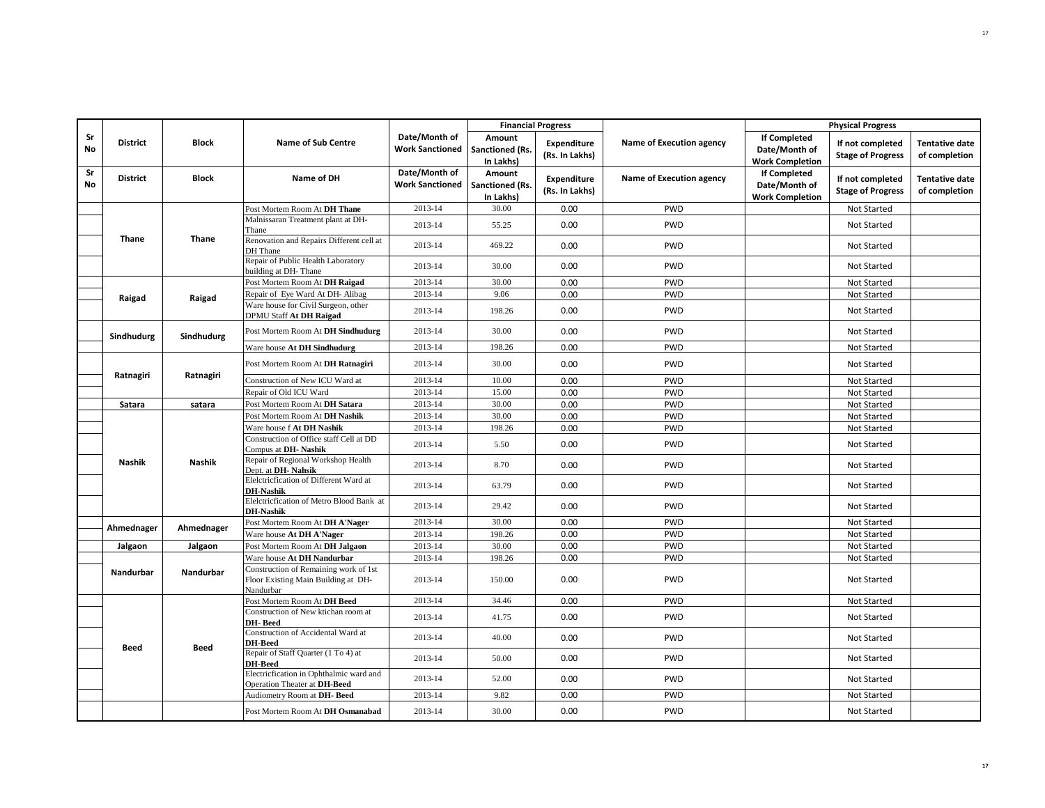|                 |                 |               |                                                                                           | <b>Financial Progress</b>               |                                        |                                      | <b>Physical Progress</b> |                                                                |                                              |                                        |
|-----------------|-----------------|---------------|-------------------------------------------------------------------------------------------|-----------------------------------------|----------------------------------------|--------------------------------------|--------------------------|----------------------------------------------------------------|----------------------------------------------|----------------------------------------|
| Sr<br><b>No</b> | <b>District</b> | Block         | <b>Name of Sub Centre</b>                                                                 | Date/Month of<br><b>Work Sanctioned</b> | Amount<br>Sanctioned (Rs.<br>In Lakhs) | <b>Expenditure</b><br>(Rs. In Lakhs) | Name of Execution agency | <b>If Completed</b><br>Date/Month of<br><b>Work Completion</b> | If not completed<br><b>Stage of Progress</b> | <b>Tentative date</b><br>of completion |
| Sr<br>No        | <b>District</b> | <b>Block</b>  | Name of DH                                                                                | Date/Month of<br><b>Work Sanctioned</b> | Amount<br>Sanctioned (Rs.<br>In Lakhs) | Expenditure<br>(Rs. In Lakhs)        | Name of Execution agency | <b>If Completed</b><br>Date/Month of<br><b>Work Completion</b> | If not completed<br><b>Stage of Progress</b> | <b>Tentative date</b><br>of completion |
|                 |                 |               | Post Mortem Room At DH Thane                                                              | 2013-14                                 | 30.00                                  | 0.00                                 | <b>PWD</b>               |                                                                | Not Started                                  |                                        |
|                 |                 |               | Malnissaran Treatment plant at DH-<br>Thane                                               | 2013-14                                 | 55.25                                  | 0.00                                 | <b>PWD</b>               |                                                                | Not Started                                  |                                        |
|                 | Thane           | Thane         | Renovation and Repairs Different cell at<br>DH Thane                                      | 2013-14                                 | 469.22                                 | 0.00                                 | PWD                      |                                                                | Not Started                                  |                                        |
|                 |                 |               | Repair of Public Health Laboratory<br>building at DH-Thane                                | 2013-14                                 | 30.00                                  | 0.00                                 | PWD                      |                                                                | Not Started                                  |                                        |
|                 |                 |               | Post Mortem Room At DH Raigad                                                             | 2013-14                                 | 30.00                                  | 0.00                                 | <b>PWD</b>               |                                                                | Not Started                                  |                                        |
|                 | Raigad          | Raigad        | Repair of Eye Ward At DH- Alibag                                                          | 2013-14                                 | 9.06                                   | 0.00                                 | PWD                      |                                                                | Not Started                                  |                                        |
|                 |                 |               | Ware house for Civil Surgeon, other<br>DPMU Staff At DH Raigad                            | 2013-14                                 | 198.26                                 | 0.00                                 | PWD                      |                                                                | Not Started                                  |                                        |
|                 | Sindhudurg      | Sindhudurg    | Post Mortem Room At DH Sindhudurg                                                         | 2013-14                                 | 30.00                                  | 0.00                                 | PWD                      |                                                                | Not Started                                  |                                        |
|                 |                 |               | Ware house At DH Sindhudurg                                                               | 2013-14                                 | 198.26                                 | 0.00                                 | <b>PWD</b>               |                                                                | Not Started                                  |                                        |
|                 | Ratnagiri       | Ratnagiri     | Post Mortem Room At DH Ratnagiri                                                          | 2013-14                                 | 30.00                                  | 0.00                                 | <b>PWD</b>               |                                                                | Not Started                                  |                                        |
|                 |                 |               | Construction of New ICU Ward at                                                           | 2013-14                                 | 10.00                                  | 0.00                                 | PWD                      |                                                                | Not Started                                  |                                        |
|                 |                 |               | Repair of Old ICU Ward                                                                    | 2013-14                                 | 15.00                                  | 0.00                                 | <b>PWD</b>               |                                                                | Not Started                                  |                                        |
|                 | Satara          | satara        | Post Mortem Room At DH Satara                                                             | 2013-14                                 | 30.00                                  | 0.00                                 | PWD                      |                                                                | Not Started                                  |                                        |
|                 |                 |               | Post Mortem Room At DH Nashik                                                             | 2013-14                                 | 30.00                                  | 0.00                                 | PWD                      |                                                                | Not Started                                  |                                        |
|                 |                 |               | Ware house f At DH Nashik                                                                 | 2013-14                                 | 198.26                                 | 0.00                                 | <b>PWD</b>               |                                                                | Not Started                                  |                                        |
|                 |                 |               | Construction of Office staff Cell at DD<br>Compus at DH-Nashik                            | 2013-14                                 | 5.50                                   | 0.00                                 | PWD                      |                                                                | Not Started                                  |                                        |
|                 | <b>Nashik</b>   | <b>Nashik</b> | Repair of Regional Workshop Health<br>Dept. at DH-Nahsik                                  | 2013-14                                 | 8.70                                   | 0.00                                 | PWD                      |                                                                | Not Started                                  |                                        |
|                 |                 |               | Elelctricfication of Different Ward at<br><b>DH-Nashik</b>                                | 2013-14                                 | 63.79                                  | 0.00                                 | <b>PWD</b>               |                                                                | Not Started                                  |                                        |
|                 |                 |               | Elelctricfication of Metro Blood Bank at<br><b>DH-Nashik</b>                              | 2013-14                                 | 29.42                                  | 0.00                                 | PWD                      |                                                                | Not Started                                  |                                        |
|                 | Ahmednager      | Ahmednager    | Post Mortem Room At DH A'Nager                                                            | 2013-14                                 | 30.00                                  | 0.00                                 | <b>PWD</b>               |                                                                | Not Started                                  |                                        |
|                 |                 |               | Ware house At DH A'Nager                                                                  | 2013-14                                 | 198.26                                 | 0.00                                 | <b>PWD</b>               |                                                                | Not Started                                  |                                        |
|                 | Jalgaon         | Jalgaon       | Post Mortem Room At DH Jalgaon                                                            | 2013-14                                 | 30.00                                  | 0.00                                 | PWD                      |                                                                | Not Started                                  |                                        |
|                 |                 |               | Ware house At DH Nandurbar                                                                | 2013-14                                 | 198.26                                 | 0.00                                 | <b>PWD</b>               |                                                                | Not Started                                  |                                        |
|                 | Nandurbar       | Nandurbar     | Construction of Remaining work of 1st<br>Floor Existing Main Building at DH-<br>Nandurbar | 2013-14                                 | 150.00                                 | 0.00                                 | PWD                      |                                                                | Not Started                                  |                                        |
|                 |                 |               | Post Mortem Room At DH Beed                                                               | 2013-14                                 | 34.46                                  | 0.00                                 | <b>PWD</b>               |                                                                | Not Started                                  |                                        |
|                 |                 |               | Construction of New ktichan room at<br>DH-Beed                                            | 2013-14                                 | 41.75                                  | 0.00                                 | PWD                      |                                                                | Not Started                                  |                                        |
|                 |                 |               | Construction of Accidental Ward at<br><b>DH-Beed</b>                                      | 2013-14                                 | 40.00                                  | 0.00                                 | <b>PWD</b>               |                                                                | Not Started                                  |                                        |
|                 | Beed            | <b>Beed</b>   | Repair of Staff Quarter (1 To 4) at<br><b>DH-Beed</b>                                     | 2013-14                                 | 50.00                                  | 0.00                                 | PWD                      |                                                                | Not Started                                  |                                        |
|                 |                 |               | Electricfication in Ophthalmic ward and<br>Operation Theater at DH-Beed                   | 2013-14                                 | 52.00                                  | 0.00                                 | PWD                      |                                                                | Not Started                                  |                                        |
|                 |                 |               | Audiometry Room at DH-Beed                                                                | 2013-14                                 | 9.82                                   | 0.00                                 | <b>PWD</b>               |                                                                | Not Started                                  |                                        |
|                 |                 |               | Post Mortem Room At DH Osmanabad                                                          | 2013-14                                 | 30.00                                  | 0.00                                 | <b>PWD</b>               |                                                                | Not Started                                  |                                        |